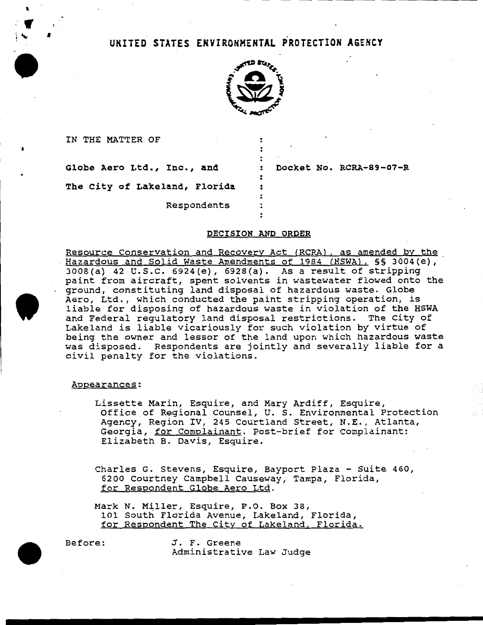# UNITED STATES EHYIROHMEHTAL PROTECTION AGENCY



IN THE MATTER OF

I

Globe Aero Ltd., Inc., and : Docket No. RCRA-89-07-R

The City of Lakeland, Florida

Respondents

## DECISION AND ORDER

Resource Conservation and Recovery Act (RCRA), as amended by the Hazardous and Solid Waste Amendments of 1984 (HSWA), §§ 3004(e), 3008(a) 42 u.s.c. 6924(e), 6928(a). As a result of stripping paint from aircraft, spent solvents in wastewater flowed onto the ground, constituting land disposal of hazardous waste. Globe Aero, Ltd., which conducted the paint stripping operation, is liable for disposing of hazardous waste in violation of the HSWA and Federal regulatory land disposal restrictions. The City of Lakeland is liable vicariously for such violation by virtue of being the owner and lessor of the land upon which hazardous waste was disposed. Respondents are jointly and severally liable for a civil penalty for the violations.

Appearances:

Lissette Marin, Esquire, and Mary Ardiff, Esquire, Office of Regional Counsel, U. S. Environmental Protection Agency, Region IV, 245 Courtland Street, N.E., Atlanta, Georgia, for Complainant. Post-brief for Complainant: Elizabeth B. Davis, Esquire.

Charles G. Stevens, Esquire, Bayport Plaza - Suite 460, 6200 Courtney Campbell Causeway, Tampa, Florida, for Respondent Globe Aero Ltd.

Mark N. Miller, Esquire, P.O. Box 38, 101 South Florida Avenue, Lakeland, Florida, for Respondent The City of Lakeland, Florida.

Before: J. F. Greene Administrative Law Judge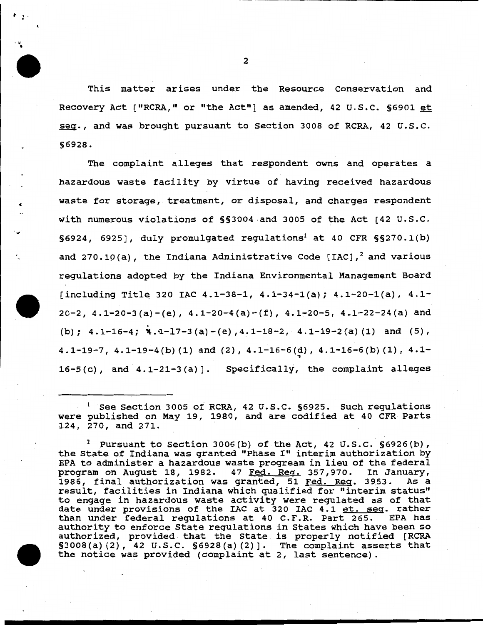This matter arises under the Resource Conservation and Recovery Act ("RCRA," or "the Act"] as amended, 42 u.s.c. §6901 et seq., and was brought pursuant to Section 3008 of RCRA, 42 U.S.C. §6928.

The complaint alleges that respondent owns and operates a hazardous waste facility by virtue of having received hazardous waste for storage, treatment, or disposal, and charges respondent with numerous violations of §§3004 and 3005 of the Act [42 U.S.C.  $§6924, 6925$ , duly promulgated regulations<sup>1</sup> at 40 CFR  $§§270.1(b)$ and 270.10(a), the Indiana Administrative Code  $|IAC|$ ,<sup>2</sup> and various regulations adopted by the Indiana Environmental Management Board [including Title 320 IAC 4.1-38-1, 4.1-34-l(a); 4.1-20-l(a), 4.1- 20-2,  $4.1-20-3$  (a)  $-(e)$ ,  $4.1-20-4$  (a)  $-(f)$ ,  $4.1-20-5$ ,  $4.1-22-24$  (a) and (b);  $4.1-16-4$ ;  $4.1-17-3$  (a)  $-(e)$ ,  $4.1-18-2$ ,  $4.1-19-2$  (a) (1) and (5), 4.1-19-7, 4.1-19-4(b) (1) and (2), 4.1-16-6(d), 4.1-16-6(b) (1), 4.1-"\ 16-5 (c), and 4.1-21-3 (a)]. Specifically, the complaint alleges

<sup>1</sup>See Section 3005 of RCRA, 42 u.s.c. §6925. Such regulations were published on May 19, 1980, and are codified at 40 CFR Parts 124, 270, and 271.

<sup>2</sup> Pursuant to Section 3006(b) of the Act, 42 U.S.C.  $\S 6926(b)$ , the State of Indiana was granted "Phase I" interim authorization by EPA to administer a hazardous waste progream in lieu of the federal program on August 18, 1982. 47 Fed. Reg. 357,970. In January,<br>1986. final authorization was granted. 51 Fed. Reg. 3953. As a 1986, final authorization was granted, 51 Fed. Reg. 3953. result, facilities in Indiana which qualified for "interim status" to engage in hazardous waste activity were regulated as of that co engage in hazardous wasce accivity were regulated as of that<br>date under provisions of the IAC at 320 IAC 4.1 <u>et. seq</u>. rather than under federal regulations at 40 C.F.R. Part 265. EPA has authority to enforce State regulations in States which have been so authorized, provided that the State is properly notified [RCRA §3008(a) (2), 42 u.s.c. §6928(a)(2)]. The complaint asserts that the notice was provided (complaint at 2, last sentence).

2

t . • • -

 $\ddot{\bullet}$ 

«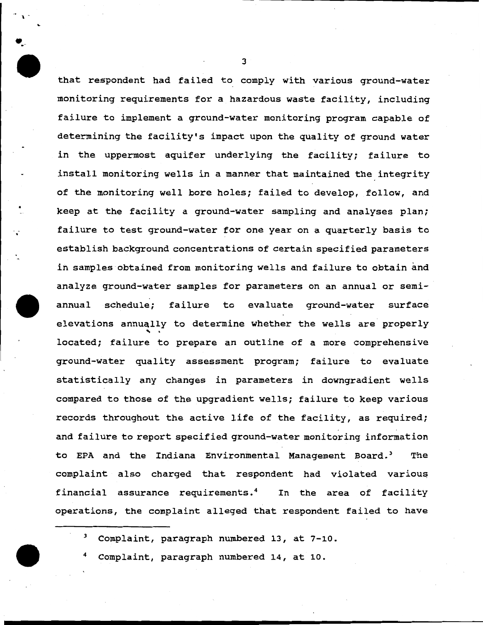that respondent had failed to comply with various ground-water monitoring requirements for a hazardous waste facility, including failure to implement a ground-water monitoring program capable of determining the facility's impact upon the quality of ground water in the uppermost aquifer underlying the facility; failure to install monitoring wells in a manner that maintained the integrity of the monitoring well bore holes; failed to develop, follow, and keep at the facility a ground-water sampling and analyses plan; failure to test ground-water for one year on a quarterly basis to establish background concentrations of certain specified parameters in samples obtained from monitoring wells and failure to obtain and analyze ground-water samples for parameters on an annual or semiannual schedule; failure to evaluate ground-water surface elevations annually to determine whether the wells are properly<br>located; failure to prepare an outline of a more comprehensive ground-water quality assessment program; failure to evaluate statistically any changes in parameters in downgradient wells compared to those of the upgradient wells; failure to keep various records throughout the active life of the facility, as required; and failure to report specified ground-water monitoring information to EPA and the Indiana Environmental Management Board.<sup>3</sup> The complaint also charged that respondent had violated various financial assurance requirements.<sup>4</sup> In the area of facility operations, the complaint alleged that respondent failed to have

3 Complaint, paragraph numbered 13, at 7-10.



 $\cdot$ 

• .. -

Complaint, paragraph numbered 14, at 10.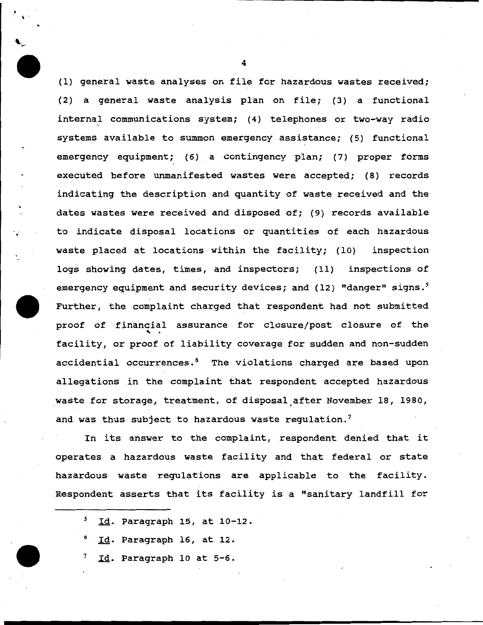{1) general waste analyses on file for hazardous wastes received; {2) a general waste analysis plan on file; {3) a functional internal communications system; (4) telephones or two-way radio systems available to summon emergency assistance; (5) functional emergency equipment; {6) a contingency plan; (7) proper forms executed before unmanifested wastes were accepted; {8) records indicating the description and quantity of waste received and the dates wastes were received and disposed of; (9) records available to indicate disposal locations or quantities of each hazardous waste placed at locations within the facility; (10) inspection logs showing dates, times, and inspectors; (11) inspections of emergency equipment and security devices; and (12) "danger" signs.<sup>5</sup> Further, the complaint charged that respondent had not submitted proof of financial assurance for closure/post closure of the<br>facility, or proof of liability coverage for sudden and non-sudden accidential occurrences.<sup>6</sup> The violations charged are based upon allegations in the complaint that respondent accepted hazardous waste for storage, treatment, of disposal after November 18, 1980, and was thus subject to hazardous waste regulation.<sup>7</sup>

In its answer to the complaint, respondent denied that it operates a hazardous waste facility and that federal or state hazardous waste regulations are applicable to the facility. Respondent asserts that its facility is a "sanitary landfill for

- *5*  Id. Paragraph 15, at 10-12.
- 6 Id. Paragraph 16, at 12.
- 7 Id. Paragraph 10 at 5-6.

4

 $\ddot{\phantom{0}}$  $\overline{\phantom{a}}$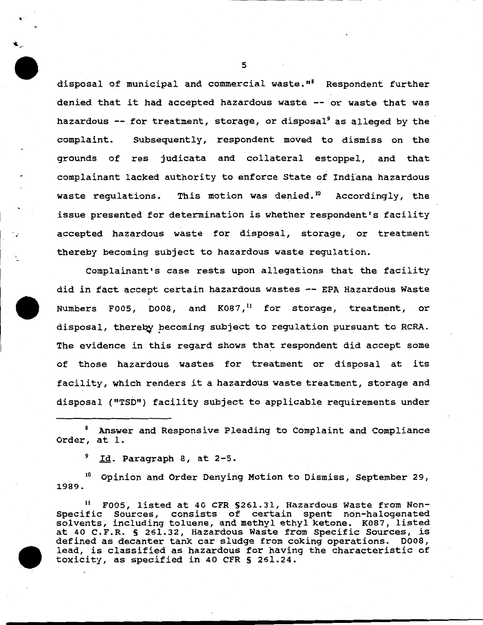disposal of municipal and commercial waste."<sup>8</sup> Respondent further denied that it had accepted hazardous waste -- or waste that was hazardous  $--$  for treatment, storage, or disposal<sup>9</sup> as alleged by the complaint. Subsequently, respondent moved to dismiss on the grounds of res judicata and collateral estoppel, and that complainant lacked authority to enforce state of Indiana hazardous waste regulations. This motion was denied.<sup>10</sup> Accordingly, the issue presented for determination is whether respondent's facility accepted hazardous waste for disposal, storage, or treatment thereby becoming subject to hazardous waste regulation.

Complainant's case rests upon allegations that the facility did in fact accept certain hazardous wastes -- EPA Hazardous Waste Numbers F005, D008, and  $K087$ ,<sup>11</sup> for storage, treatment, or disposal, thereby becoming subject to regulation pursuant to RCRA. The evidence in this regard shows that respondent did accept some of those hazardous wastes for treatment or disposal at its facility, which renders it a hazardous waste treatment, storage and disposal ("TSD") facility subject to applicable requirements under

8 Answer and Responsive Pleading to Complaint and compliance Order, at 1.

<sup>9</sup> Id. Paragraph 8, at 2-5.

' -

<sup>10</sup> Opinion and Order Denying Motion to Dismiss, September 29, 1989.

F005, listed at 40 CFR §261.31, Hazardous Waste from Non-Specific Sources, consists of certain spent non-halogenated solvents, including toluene, and methyl ethyl ketone. K087, listed at 40 C.F.R. § 261.32, Hazardous Waste from Specific Sources, is defined as decanter tank car sludge from coking operations. D008, lead, is classified as hazardous for having the characteristic of toxicity, as specified in 40 CFR § 261.24.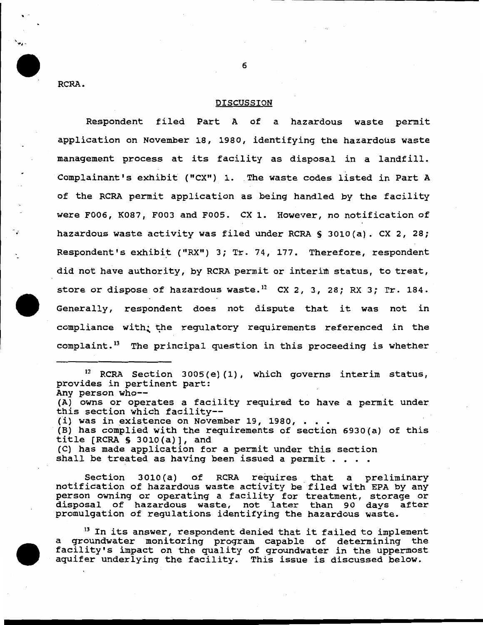RCRA.

#### DISCUSSION

Respondent filed Part A of a hazardous waste permit application on November 18, 1980, identifying the hazardous waste management process at its facility as disposal in a landfill. Complainant's exhibit ("CX") 1. The waste codes listed in Part A of the RCRA permit application as being handled by the facility were F006, K087, F003 and FOOS. ex 1. However, no notification of hazardous waste activity was filed under RCRA § 3010(a). CX 2, 28; Respondent's exhibit ("RX") 3; Tr. 74, 177. Therefore, respondent did not have authority, by RCRA permit or interim status, to treat, store or dispose of hazardous waste.<sup>12</sup> CX 2, 3, 28; RX 3; Tr. 184. Generally, respondent does not dispute that it was not in compliance with; the regulatory requirements referenced in the complaint.<sup>13</sup> The principal question in this proceeding is whether

 $12$  RCRA Section 3005(e)(1), which governs interim status, provides in pertinent part: Any person whp-- (A) owns or operates a facility required to have a permit under this section which facility--<br>(i) was in existence on November 19, 1980, . . . (B) has complied with the requirements of section 6930(a) of this title (RCRA S 3010(a}], and (C) has made application for a permit under this section shall be treated as having been issued a permit  $\cdots$ 

Section 3010(a) of RCRA requires that a preliminary notification of hazardous waste activity be filed with EPA by any person owning or operating a facility for treatment, storage or disposal of hazardous waste, not later than 90 days after promulgation of regulations identifying the hazardous waste.

 $^{13}$  In its answer, respondent denied that it failed to implement a groundwater monitoring program capable of determining the facility's impact on the quality of groundwater in the uppermost aquifer underlying the facility. This issue is discussed below.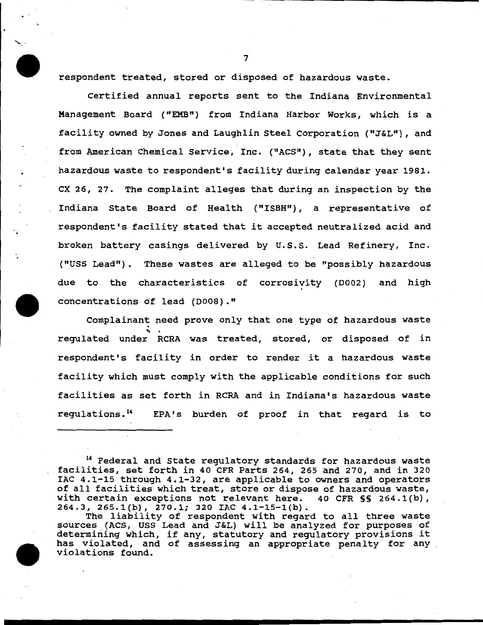respondent treated, stored or disposed of hazardous waste.

"'-.-

Certified annual reports sent to the Indiana Environmental Management Board ("EMB") from Indiana Harbor Works, which is a facility owned by Jones and Laughlin Steel Corporation ( "J&L") , and from American Chemical Service, Inc. ("ACS"), state that they sent hazardous waste to respondent's facility during calendar year 1981. ex 26, 27. The complaint alleges that during an inspection by the Indiana State Board of Health ("ISBH"), a representative of respondent's facility stated that it accepted neutralized acid and broken battery casings delivered by U.S.S. Lead Refinery, Inc. ("USS Lead"). These wastes are alleged to be "possibly hazardous due to the characteristics of corrosivity (D002) and high concentrations of lead (D008)."

Complainant need prove only that one type of hazardous waste regulated under RCRA was treated, stored, or disposed of in respondent's facility in order to render it a hazardous waste facility which must comply with the applicable conditions for such facilities as set forth in RCRA and in Indiana's hazardous waste regulations. 14 EPA's burden of proof in that regard is to

<sup>14</sup> Federal and State regulatory standards for hazardous waste facilities, set forth in 40 CFR Parts 264, 265 and 270, and in 320 IAC 4.1-15 through 4.1-32, are applicable to owners and operators of all facilities which treat, store or dispose of hazardous waste, with certain exceptions not relevant here. 40 CFR §§ 264.1(b), 264.3, 265.1(b), 270.1; 320 IAC 4.1-15-1(b).

The liability of respondent with regard to all three waste sources (ACS, USS Lead and J&L) will be analyzed for purposes of determining which, if any, statutory and regulatory provisions it has violated, and of assessing an appropriate penalty for any violations found.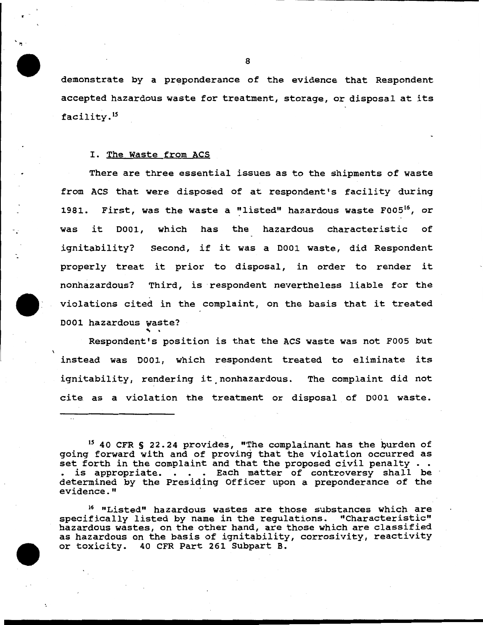demonstrate by a preponderance of the evidence that Respondent accepted hazardous waste for treatment, storage, or disposal at its facility.<sup>15</sup>

### I. The Waste from ACS

.-

 $\ldots$ 

There are three essential issues as to the shipments of waste from ACS that were disposed of at respondent's facility during 1981. First, was the waste a "listed" hazardous waste F005<sup>16</sup>, or was it 0001, which has the hazardous characteristic of ignitability? Second, if it was a 0001 waste, did Respondent properly treat it prior to disposal, in order to render it nonhazardous? Third, is respondent nevertheless liable for the violations cited in the complaint, on the basis that it treated 0001 hazardous waste?

Respondent's position is that the ACS waste was not F005 but instead was 0001, which respondent treated to eliminate its ignitability, rendering it nonhazardous. The complaint did not cite as a violation the treatment or disposal of D001 waste.

 $15$  40 CFR § 22.24 provides, "The complainant has the burden of going forward with and of proving that the violation occurred as set forth in the complaint and that the proposed civil penalty  $\ldots$ . is appropriate. . . . Each matter of controversy shall be determined by the Presiding Officer upon a preponderance of the evidence."

16 "Listed" hazardous wastes are those substances which are specifically listed by name in the regulations. "Characteristic" hazardous wastes, on the other hand, are those which are classified as hazardous on the basis of ignitability, corrosivity, reactivity or toxicity. 40 CFR Part 261 Subpart B.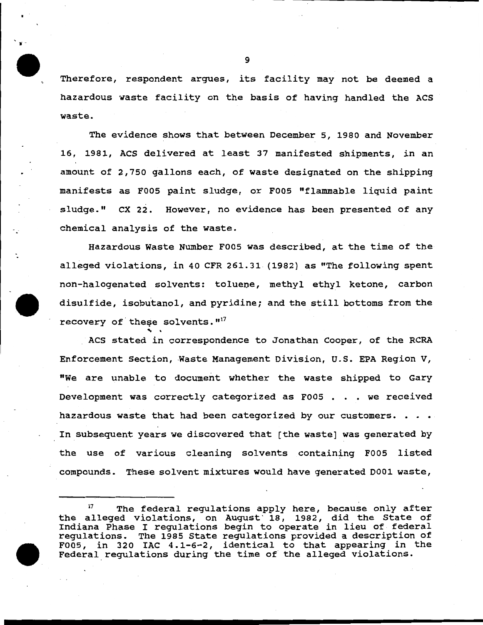Therefore, respondent argues, its facility may not be deemed a hazardous waste facility on the basis of having handled the ACS waste.

The evidence shows that between December 5, 1980 and November 16, 1981, ACS delivered at least 37 manifested shipments, in an amount of 2,750 gallons each, of waste designated on the shipping manifests as F005 paint sludge, or F005 "flammable liquid paint sludge." ex 22. However, no evidence has been presented of any chemical analysis of the waste .

Hazardous Waste Number F005 was described, at the time of the alleged violations, in 40 CFR 261.31 (1982} as "The following spent non-halogenated solvents: toluene, methyl ethyl ketone, carbon disulfide, isobutanol, and pyridine; and the still bottoms from the recovery of these solvents.  $117$ 

ACS stated in correspondence to Jonathan Cooper, of the RCRA Enforcement Section, Waste Management Division, U.S. EPA Region V, "We are unable to document whether the waste shipped to Gary Development was correctly categorized as F005 . . . we received hazardous waste that had been categorized by our customers.  $\cdots$ In subsequent years we discovered that (the waste] was generated by the use of various cleaning solvents containing F005 listed compounds. These solvent mixtures would have generated D001 waste,

9

.. -

. -

<sup>17</sup> The federal regulations apply here, because only after the alleged violations, on August ' 18, 1982, did the State of Indiana Phase I regulations begin to operate in lieu of federal regulations. The 1985 State regulations provided a description of F005, in 320 IAC 4.1-6-2, identical to that appearing in the Federal\_regulations during the time of the alleged violations.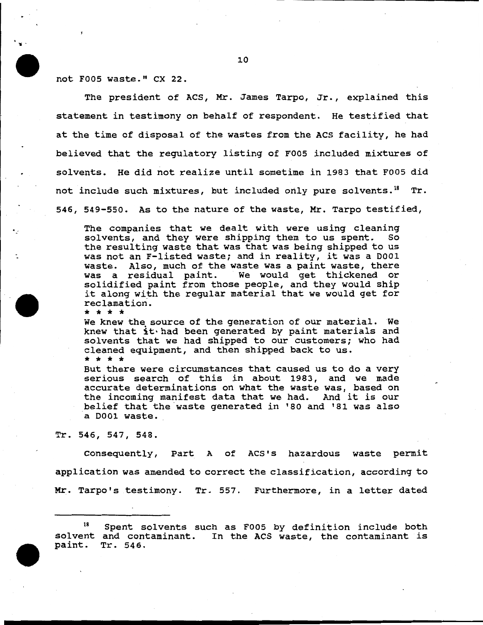.. -

not F005 waste." CX 22.

The president of ACS, Mr. James Tarpo, Jr., explained this statement in testimony on behalf of respondent. He testified that at the time of disposal of the wastes from the ACS facility, he had believed that the regulatory listing of F005 included mixtures of solvents. He did not realize until sometime in 1983 that F005 did not include such mixtures, but included only pure solvents.<sup>18</sup> Tr. 546, 549-550. As to the nature of the waste, Mr. Tarpo testified,

The companies that we dealt with were using cleaning solvents, and they were shipping them to us spent. So the resulting waste that was that was being shipped to us was not an F-listed waste; and in reality, it was a 0001 waste. Also, much of the waste was a paint waste, there was a residual paint. We would get thickened or solidified paint from those people, and they would ship it along with the regular material that we would get for reclamation.<br>\* \* \* \*

We knew the source of the generation of our material. We knew that it·had been generated by paint materials and solvents that we had shipped to our customers; who had cleaned equipment, and then shipped back to us.<br>\* \* \* \*

But there were circumstances that caused us to do a very serious search of this in about 1983, and we made accurate determinations on what the waste was, based on the incoming manifest data that we had. And it is our belief that the.waste generated in '80 and '81 was also a 0001 waste.

Tr. 546, 547, 548.

Consequently, Part A of ACS's hazardous waste permit application was amended to correct the classification, according to Mr. Tarpo's testimony. Tr. 557. Furthermore, in a letter dated

18 Spent solvents such as F005 by definition include both sol vent and contaminant. In the ACS waste, the contaminant is paint. Tr. 546.

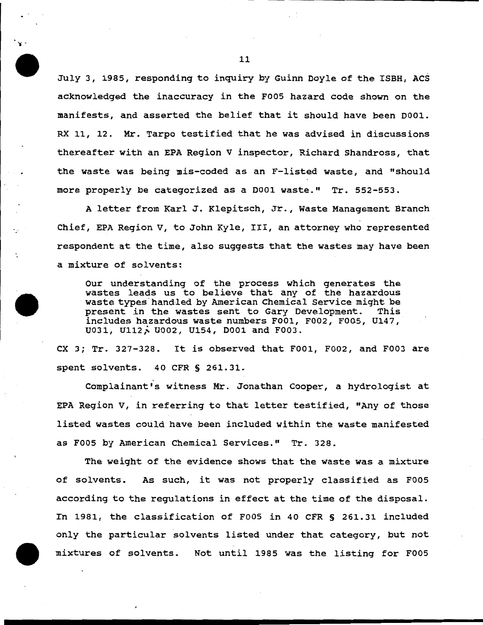July 3, 1985, responding to inquiry by Guinn Doyle of the ISBH, ACS acknowledged the inaccuracy in the F005 hazard code shown on the manifests, and asserted the belief that it should have been DOOl. RX 11, 12. Mr. Tarpo testified that he was advised in discussions thereafter with an EPA Region V inspector, Richard Shandross, that the waste was being mis-coded as an F-listed waste, and "should more properly be categorized as a DOOl waste." Tr. 552-553.

A letter from Karl J. Klepitsch, Jr., Waste Management Branch Chief, EPA Region V, to John Kyle, III, an attorney who represented respondent at the time, also suggests that the wastes may have been a mixture of solvents:

Our understanding of the process which generates the wastes leads us to believe that any of the hazardous waste types handled by American Chemical Service might be<br>present in the wastes sent to Gary Development. This present in the wastes sent to Gary Development. includes hazardous waste numbers FOOl, F002, F005, U147, U031, U112, U002, U154, D001 and F003.

ex 3; Tr. 327-328. It is observed that FOOl, F002, and F003 are spent solvents. 40 CFR § 261.31.

Complainant's witness Mr. Jonathan Cooper, a hydrologist at EPA Region V, in referring to that letter testified, "Any of those listed wastes could have been included within the waste manifested as F005 by American Chemical Services." Tr. 328.

The weight of the evidence shows that the waste was a mixture of solvents. As such, it was not properly classified as F005 according to the regulations in effect at the time of the disposal. In 1981, the classification of F005 in 40 CFR § 261.31 included only the particular solvents listed under that category, but not mixtures of solvents. Not until 1985 was the listing for F005

'I -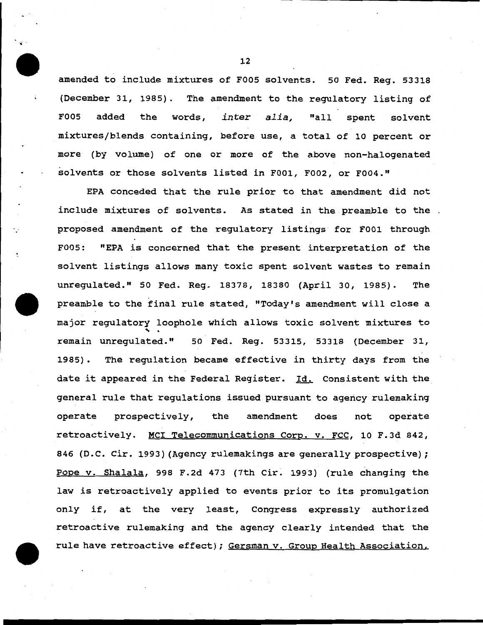amended to include mixtures of FOOS solvents. so Fed. Reg. 53318 (December 31, 1985). The amendment to the regulatory listing of FOOS added the words, *inter alia,* "all spent solvent mixtures/blends containing, before use, a total of 10 percent or more (by volume) of one or more of the above non-halogenated solvents or those solvents listed in F001, F002, or F004."

EPA conceded that the rule prior to that amendment did not include mixtures of solvents. As stated in the preamble to the. proposed amendment of the regulatory listings for FOOl through F005: "EPA is concerned that the present interpretation of the solvent listings allows many toxic spent solvent wastes to remain unregulated." 50 Fed. Reg. 18378, 18380 (April 30, 1985). The preamble to the final rule stated, "Today's amendment will close a major regulatory loophole which allows toxic solvent mixtures to remain unregulated. " 50 Fed. Reg. 53315, 53318 (December 31, 1985) . The regulation became effective in thirty days from the date it appeared in the Federal Register. Id. Consistent with the general rule that regulations issued pursuant to agency rulemaking operate prospectively, the amendment does not operate retroactively. MCI Telecommunications Corp. v. FCC, 10 F.3d 842, 846 (D.C. Cir. 1993) (Agency rulemakings are generally prospective); Pope v. Shalala, 998 F.2d 473 (7th Cir. 1993) (rule changing the law is retroactively applied to events prior to its promulgation only if, at the very least, Congress expressly authorized retroactive rulemaking and the agency clearly intended that the rule have retroactive effect); Gersman v. Group Health Association,

12

.. -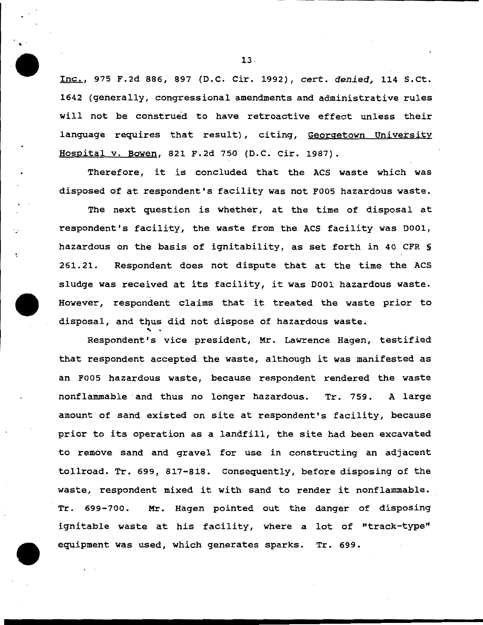Inc., 975 F.2d 886, 897 (D.C. Cir. 1992), cert. *denied,* 114 s.ct. 1642 (generally, congressional amendments and administrative rules will not be construed to have retroactive effect unless their language requires that result), citing, Georgetown University Hospital v. Bowen, 821 F.2d 750 (D.C. Cir. 1987).

Therefore, it is concluded that the ACS waste which was disposed of at respondent's facility was not F005 hazardous waste.

The next question is whether, at the time of disposal at respondent's facility, the waste from the ACS facility was 0001, hazardous on the basis of ignitability, as set forth in 40 CFR § 261.21. Respondent does not dispute that at the time the ACS sludge was received at its facility, it was 0001 hazardous waste. However, respondent claims that it treated the waste prior to disposal, and thus did not dispose of hazardous waste.<br>Respondent's vice president, Mr. Lawrence Hagen, testified

that respondent accepted the waste, although it was manifested as an F005 hazardous waste, because respondent rendered the waste nonflammable ·and thus no longer hazardous. Tr. 759. A large amount of sand existed on site at respondent's facility, because prior to its operation as a landfill, the site had been excavated to remove sand and gravel for use in constructing an adjacent tollroad. Tr. 699, 817-818. Consequently, before disposing of the waste, respondent mixed it with sand to render it nonflammable. Tr. 699-700. Mr. Hagen pointed out the danger of disposing ignitable waste at his facility, where a lot of "track-type" equipment was used, which generates sparks. Tr. 699.

13 -

.. -

.-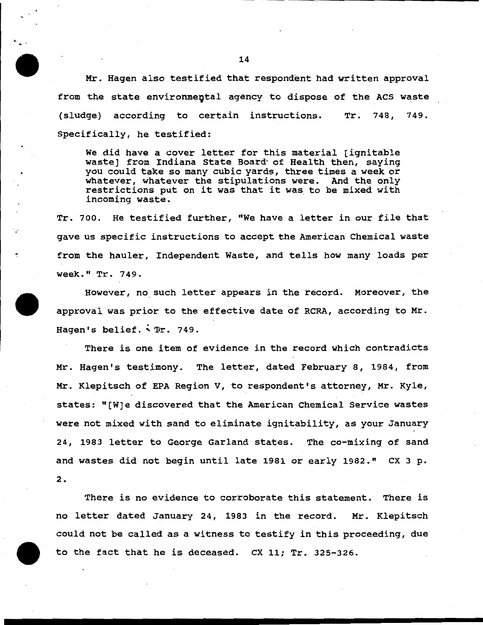Mr. Hagen also testified that respondent had written approval from the state environmental agency to dispose of the ACS waste (sludge) according to certain instructions. Specifically, he testified: Tr. 748, 749.

We did have a cover letter for this material [ignitable waste] from Indiana State Board· of Health then, saying you could take so many cubic yards, three times a week or whatever, whatever the stipulations were. And the only restrictions put on it was that it was to be mixed with incoming waste.

Tr. 700. He testified further, "We have a letter in our file that gave us specific instructions to accept the American Chemical waste from the hauler, Independent Waste, and tells how many loads per week." Tr. 749.

However, no such letter appears in the record. Moreover, the approval was prior to the effective date of RCRA, according to Mr. Hagen's belief. . Tr. 749.

There is one item of evidence in the record which contradicts Mr. Hagen's testimony. The letter, dated February 8, 1984, from Mr. Klepitsch of EPA Region V, to respondent's attorney, Mr. Kyle, states: "[W]e discovered that the American Chemical Service wastes were not mixed with sand to eliminate ignitability, as your January 24, 1983 letter to George Garland states. The co-mixing of sand and wastes did not begin until late 1981 or early 1982." CX 3 p. 2.

There is no evidence to corroborate this statement. There is no letter dated January 24, 1983 in the record. Mr. Klepitsch could not be called as a witness to testify in this proceeding, due to the fact that he is deceased. CX 11; Tr. 325-326.

..

.·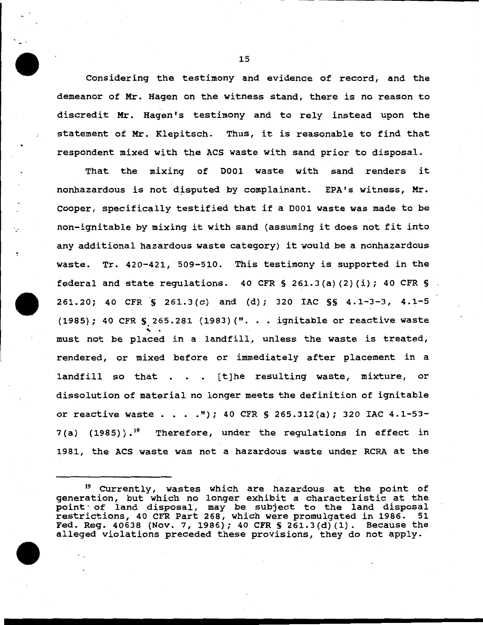Considering the testimony and evidence of record, and the demeanor of Mr. Hagen on the witness stand, there is no reason to discredit Mr. Hagen's testimony and to rely instead upon the statement of Mr. Klepitsch. Thus, it is reasonable to find that respondent mixed with the ACS waste with sand prior to disposal.

That the mixing of 0001 waste with sand renders it nonhazardous is not disputed by complainant. EPA's witness, Mr. Cooper, specifically testified that if a 0001 waste was made to be non-ignitable by mixing it with sand (assuming it does not fit into any additional hazardous waste category) it would be a nonhazardous waste. Tr. 420-421, 509-510. This testimony is supported *in* the federal and state regulations. 40 CFR § 261.3(a) (2) (i); 40 CFR § 261.20; 40 CFR  $\zeta$  261.3(c) and (d); 320 IAC  $\zeta$  § 4.1-3-3, 4.1-5 (1985); 40 CFR § 265.281 (1983) (". . . ignitable or reactive waste must not be placed in a landfill, unless the waste is treated, rendered, or mixed before or immediately after placement in a landfill so that  $\blacksquare$ . . [t]he resulting waste, mixture, or dissolution of material no longer meets the definition of ignitable or reactive waste  $\cdot \cdot \cdot \cdot$ "); 40 CFR § 265.312(a); 320 IAC 4.1-53- $7(a)$  (1985)).<sup>19</sup> Therefore, under the regulations in effect in 1981, the ACS waste was not a hazardous waste under RCRA at the

<sup>19</sup> CUrrently, wastes which are hazardous at the point of generation, but which no longer exhibit a characteristic at the point of land disposal, may be subject to the land disposal point of fand disposar, may be subject to the fand disposare restrictions, 40 CFR Part 268, which were promulgated in 1986. 51 Fed. Reg. 40638 (Nov. 7, 1986); 40 CFR § 261.3(d) (1). Because the alleged violations preceded these provisions, they do not apply.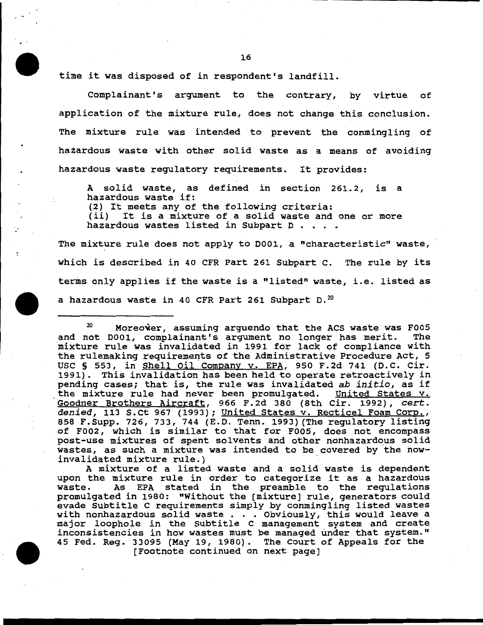16

time it was disposed of in respondent's landfill.

Complainant's argument to the contrary, by virtue of application of the mixture rule, does not change this conclusion. The mixture rule was intended to prevent the conmingling of hazardous waste with other solid waste as a means of avoiding hazardous waste regulatory requirements. It provides:

A solid waste, as defined in section 261.2, is a hazardous waste if: (2) It meets any of the following criteria: It is a mixture of a solid waste and one or more hazardous wastes listed in Subpart D . . . .

The mixture rule does not apply to D001, a "characteristic" waste, which is described in 40 CFR Part 261 Subpart c. The rule by its terms only applies if the waste is a "listed" waste, i.e. listed as a hazardous waste in 40 CFR Part 261 Subpart D.<sup>20</sup>

 $20$  Moreover, assuming arguendo that the ACS waste was F005 and not 0001, complainant's argument no longer has merit. The mixture rule was invalidated in 1991 for lack of compliance with the rulemaking requirements of the Administrative Procedure Act, 5 USC § 553, in Shell Oil Company v. EPA, 950 F.2d 741 (D.C. Cir. 1991). This invalidation has been held to operate retroactively in pending cases; that is, the rule was invalidated *ab initio*, as if the mixture rule had never been promulgated. United States v. Goodner Brothers Aircraft, 966 F.2d 380 (8th Cir. 1992), *cert. denied,* 113 S.Ct 967 (1993); United States v. Recticel Foam Corp., 858 F.Supp. 726, 733, 744 (E.D. Tenn. 1993) (The regulatory listing of F002, which is similar to that for F005, does not encompass post-use mixtures of spent solvents and other nonhazardous solid wastes, as such a mixture was intended to be covered by the now-<br>invalidated mixture rule.)

A mixture of a listed waste and a solid waste is dependent upon the mixture rule in order to categorize it as a hazardous<br>waste. As EPA stated in the preamble to the requlations As EPA stated in the preamble to the regulations promulgated in 1980: "Without the [mixture] rule, generators could evade Subtitle c requirements simply by conmingling listed wastes with nonhazardous solid waste . . . Obviously, this would leave a major loophole in the Subtitle C management system and create inconsistencies in how wastes must be managed under that system." 45 Fed. Reg. 33095 (May 19, 1980). The Court of Appeals for the (Footnote continued on next page)

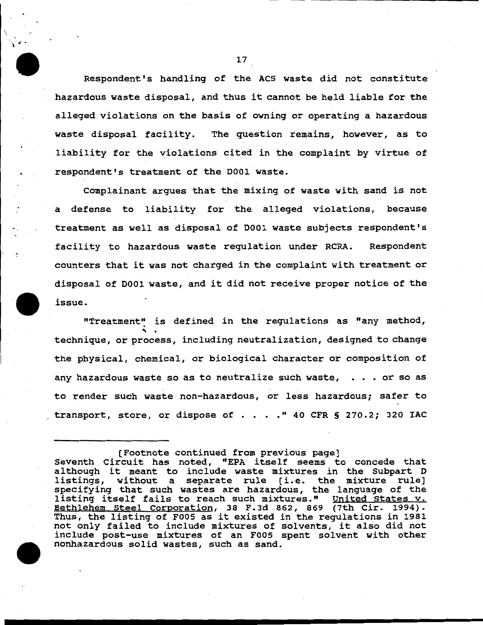Respondent's handling of the ACS waste did not constitute hazardous waste disposal, and thus it cannot be held liable for the alleged violations on the basis of owning or operating a hazardous waste disposal facility. The question remains, however, as to liability for the violations cited in the complaint by virtue of respondent's treatment of the 0001 waste.

Complainant argues that the mixing of waste with sand is not a defense to liability for the alleged violations, because treatment as well as disposal of 0001 waste subjects respondent's facility to hazardous waste regulation under RCRA. Respondent counters that it was not charged in the complaint with treatment or disposal of 0001 waste, and it did not receive proper notice of the issue.

"Treatment" is defined in the regulations as "any method,<br>technique, or process, including neutralization, designed to change the physical, chemical, or biological character or composition of any hazardous waste so as to neutralize such waste,  $\cdot \cdot \cdot$  or so as to render such waste non-hazardous, or less hazardous; safer to transport, store, or dispose of  $\ldots$  . . " 40 CFR § 270.2; 320 IAC

17

\

·, 4 ' .. l .

<sup>[</sup>Footnote continued from previous page] Seventh Circuit has noted, "EPA itself seems to concede that although it meant to include waste mixtures in the Subpart D<br>listings, without a separate rule [i.e. the mixture rule] without a separate rule [i.e. the mixture rule] specifying that such wastes are hazardous, the language of the listing itself fails to reach such mixtures." United States v. Bethlehem Steel Corporation, 38 F.3d 862, 869 (7th Cir. 1994). Thus, the listing of F005 as it existed in the regulations in 1981 not only failed to include mixtures of solvents, it also did not include post-use mixtures of an F005 spent solvent with other nonhazardous solid wastes, such as sand.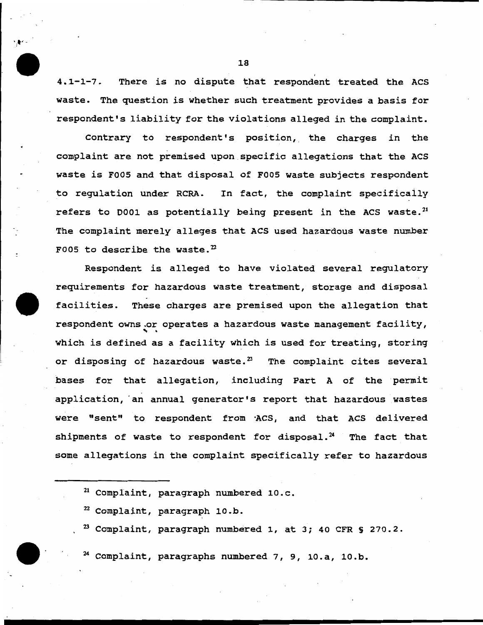4.1-1-7. There is no dispute that respondent treated the ACS waste. The question is whether such treatment provides a basis for respondent's liability for the violations alleged in the complaint.

Contrary to respondent's position, the charges in the complaint are not premised upon specific allegations that the ACS waste is FOOS and that disposal of FOOS waste subjects respondent to regulation under RCRA. In fact, the complaint specificaily refers to D001 as potentially being present in the ACS waste. $^{21}$ The complaint merely alleges that ACS used hazardous waste number F005 to describe the waste. $^{22}$ 

Respondent is alleged to have violated several regulatory requirements for hazardous waste treatment, storage and disposal facilities. These charges are premised upon the allegation that respondent owns.or operates a hazardous waste management facility,<br>which is defined as a facility which is used for treating, storing or disposing of hazardous waste. $^{23}$  The complaint cites several bases for that allegation, including Part A of the permit application, an annual generator's report that hazardous wastes were "sent" to respondent from ·Acs, and that ACS delivered shipments of waste to respondent for disposal. $24$  The fact that some allegations in the complaint specifically refer to hazardous

- 21 Complaint, paragraph numbered lO.c.
- $22$  Complaint, paragraph 10.b.
- $^{23}$  Complaint, paragraph numbered 1, at 3; 40 CFR § 270.2.

 $24$  Complaint, paragraphs numbered 7, 9, 10.a, 10.b.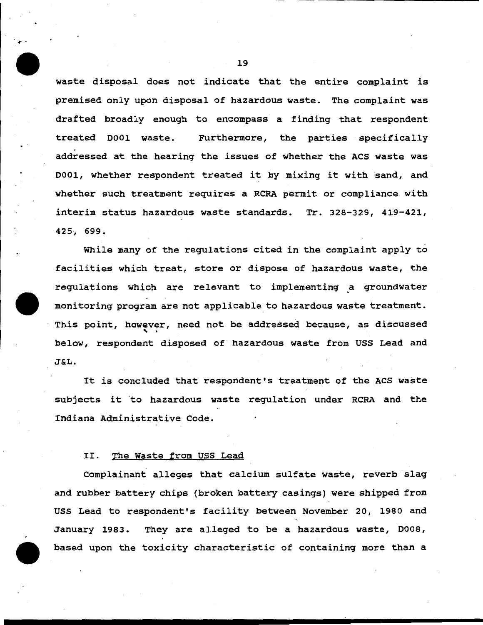waste disposal does not indicate that the entire complaint is premised only upon disposal of hazardous waste. The complaint was drafted broadly enough to encompass a finding that respondent treated 0001 waste. Furthermore, the parties specifically addressed at the hearing the issues of whether the ACS waste was 0001, whether respondent treated it by mixing it with sand, and whether such treatment requires a RCRA permit or compliance with interim status hazardous waste standards. Tr. 328-329, 419-421, 425, 699.

While many of the regulations cited in the complaint apply to facilities which treat, store or dispose of hazardous waste, the regulations which are relevant to implementing a groundwater monitoring program are not applicable to hazardous waste treatment. This point, however, need not be addressed because, as discussed<br>below, respondent disposed of hazardous waste from USS Lead and J&L.

It is concluded that respondent's treatment of the ACS waste subjects it 'to hazardous waste regulation under RCRA and the Indiana Administrative Code.

## II. The Waste from USS Lead

Complainant alleges that calcium sulfate waste, reverb slag and rubber battery chips (broken battery casings) were shipped from USS Lead to respondent's facility between November 20, 1980 and January 1983. They are alleged to be a hazardous waste, 0008, based upon the toxicity characteristic of containing more than a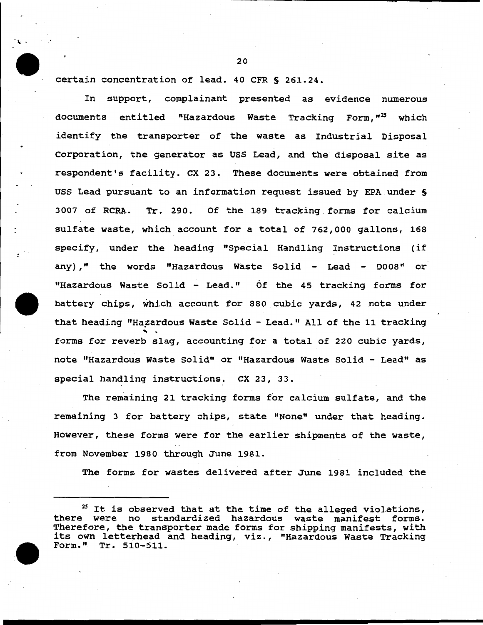certain concentration of lead. 40 CFR S 261.24.

In support, complainant presented as evidence numerous documents entitled "Hazardous Waste Tracking Form,"<sup>25</sup> which identify the transporter of the waste as Industrial Disposal Corporation, the generator as USS Lead, and the disposal site as respondent's facility. ex 23. These documents were obtained from USS Lead pursuant to an information request issued by EPA under S 3007 of RCRA. Tr. 290. Of the 189 tracking forms for calcium sulfate waste, which account for a total of 762,000 gallons, 168 specify, under the heading "Special Handling Instructions (if any)," the words "Hazardous Waste Solid - Lead - D008" or "Hazardous Waste Solid - Lead." Of the 45 tracking forms for battery chips, which account for 880 cubic yards, 42 note under that heading "Hazardous Waste Solid - Lead." All of the 11 tracking<br>forms for reverb slag, accounting for a total of 220 cubic yards, note "Hazardous Waste Solid" or "Hazardous Waste Solid - Lead" as special handling instructions. CX 23, 33.

The remaining 21 tracking forms for calcium sulfate, and the remaining 3 for battery chips, state "None" under that heading. However, these forms were for the earlier shipments of the waste, from November 1980 through June 1981.

The forms for wastes delivered after June 1981 included the

 $25$  It is observed that at the time of the alleged violations, there were no standardized hazardous waste manifest forms. Therefore, the transporter made forms for shipping manifests, with its own letterhead and heading, viz., "Hazardous Waste Tracking Form." Tr. 510-511.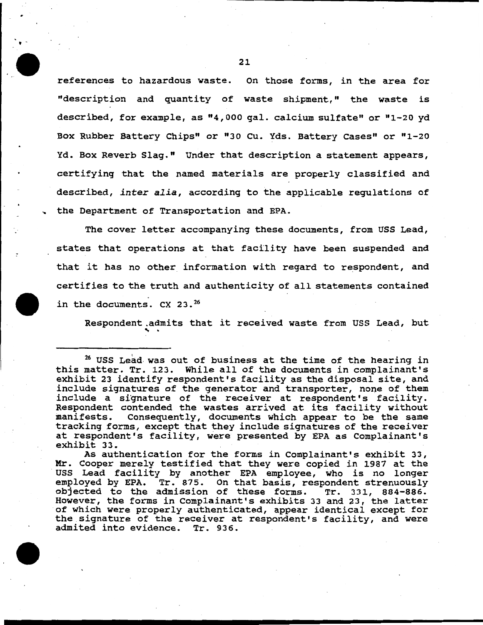references to hazardous waste. On those forms, in the area for "description and quantity of waste shipment," the waste is described, for example, as "4,000 gal. calcium sulfate" or "1-20 yd Box Rubber Battery Chips" or "30 cu. Yds. Battery cases" or "1-20 Yd. Box Reverb Slag." Under that description a statement appears, certifying that the named materials are properly classified and described, *inter alia,* according to the applicable regulations of the Department of Transportation and EPA .

The cover letter accompanying these documents, from USS Lead, states that operations at that facility have been suspended and that it has no other information with regard to respondent, and certifies to the truth and authenticity of all statements contained in the documents.  $CX$  23. $^{26}$ 

Respondent.admits that it received waste from USS Lead, but

 $26$  USS Lead was out of business at the time of the hearing in this matter. Tr. 123. While all of the documents in complainant's exhibit 23 identify respondent's facility as the disposal site, and include signatures of the generator and transporter, none of them include a signature of the receiver at respondent's facility. Respondent contended the wastes arrived at its facility without manifests. Consequently, documents which appear to be the same tracking forms, except that they include signatures of the receiver at respondent's facility, were presented by EPA as Complainant's exhibit 33.

As authentication for the forms in Complainant's exhibit 33, Mr. Cooper merely testified that they were copied in 1987 at the USS Lead facility by another EPA employee, who is no longer employed by EPA. Tr. 875. On that basis, respondent strenuously objected to the admission of these forms. Tr. 331, 884-886. However, the forms in Complainant's exhibits 33 and 23, the latter of which were properly authenticated, appear identical except for the signature of the receiver at respondent's facility, and were admited into evidence. Tr. 936.

' -

..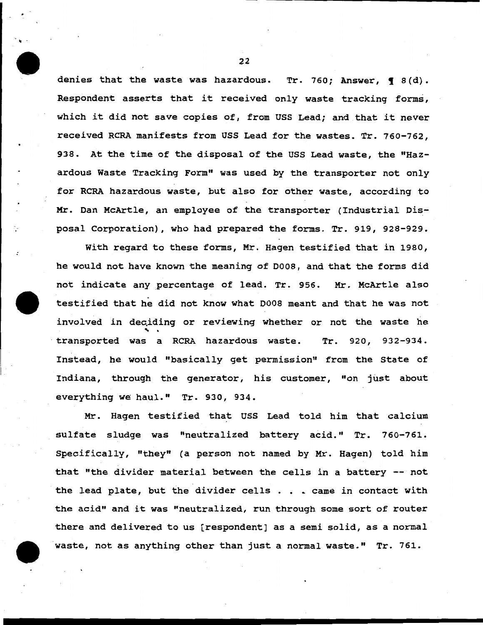denies that the waste was hazardous. Tr. 760; Answer,  $\P$  8(d). Respondent asserts that it received only waste tracking forms, which it did not save copies of, from USS Lead; and that it never received RCRA manifests from USS Lead for the wastes. Tr. 760-762, 938. At the time of the disposal of the USS Lead waste, the "Hazardous Waste Tracking Form" was used by the transporter not only for RCRA hazardous waste, but also for other waste, according to Mr. Dan McArtle, an employee of the transporter (Industrial Disposal Corporation), who had prepared the forms. Tr. 919, 928-929.

With regard to these forms, Mr. Hagen testified that in 1980, he would not have known the meaning of D008, and that the forms did not indicate any percentage of lead. Tr. 956. Mr. McArtle also testified that he did not know what D008 meant and that he was not involved in deciding or reviewing whether or not the waste he<br>transported was a RCRA hazardous waste. Tr. 920, 932-934. Instead, he would "basically get permission" from the State of Indiana, through the generator, his customer, "on just about everything we haul." Tr. 930, 934.

Mr. Hagen testified that USS Lead told him that calcium sulfate sludge was "neutralized battery acid." Tr. 760-761. Specifically, "they" (a person not named by Mr. Hagen) told him that "the divider material between the cells in a battery  $-$  not the lead plate, but the divider cells . . . came in contact with the acid" and it was "neutralized, run through some sort of router there and delivered to us (respondent] as a semi solid, as a normal waste, not as anything other than just a normal waste." Tr. 761.

22

" -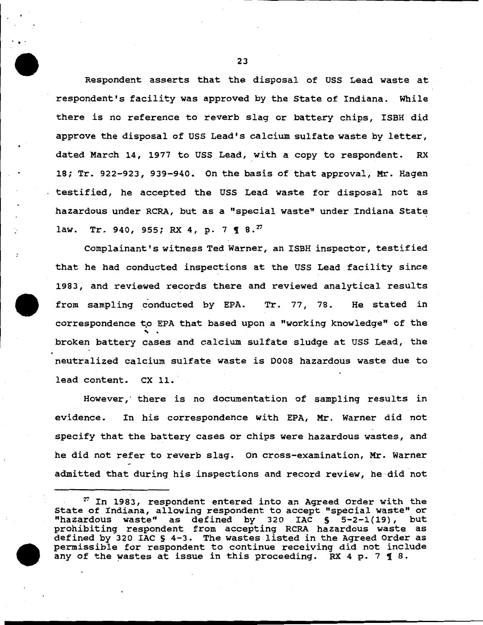Respondent asserts that the disposal of USS Lead waste at respondent's facility was approved by the State of Indiana. While there is no reference to reverb slag or battery chips, ISBH did approve the disposal of USS Lead's calcium sulfate waste by letter, dated March 14, 1977 to uss Lead, with a copy to respondent. RX 18; Tr. 922-923, 939-940. On the basis of that approval, Mr. Hagen testified, he accepted the USS Lead waste for disposal not as hazardous under RCRA, but as a "special waste" under Indiana State law. Tr. 940, 955; RX 4, p. 7 **1** 8.<sup>27</sup>

Complainant's witness Ted Warner, an ISBH inspector, testified that he had conducted inspections at the uss Lead facility since 1983, and reviewed records there and reviewed analytical results from sampling conducted by EPA. Tr. 77, 78. He stated in correspondence to EPA that based upon a "working knowledge" of the broken battery cases and calcium sulfate sludge at USS Lead, the neutralized calcium sulfate waste is 0008 hazardous waste due to lead content. CX 11.

However, there is no documentation of sampling results in evidence. In his correspondence with EPA, Mr. Warner did not specify that the battery cases or chips were hazardous wastes, and he did not refer to reverb slag. On cross-examination, Mr. Warner admitted that during his inspections and record review, he did not

23

.. -

*v* In 1983, respondent entered into an Agreed Order with the State of Indiana, allowing respondent to accept "special waste" or "hazardous waste" as defined by 320 IAC § 5-2-1(19), but prohibiting respondent from accepting RCRA hazardous waste as defined by 320 IAC § 4-3. The wastes listed in the Agreed Order as permissible for respondent to continue receiving did not include any of the wastes at issue in this proceeding. RX 4 p. 7  $\P$  8.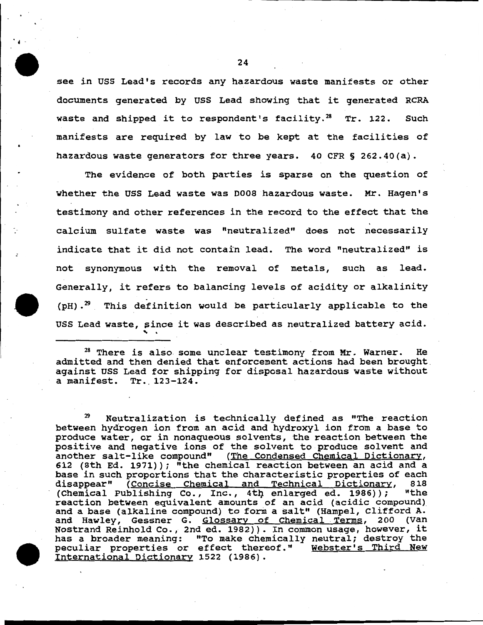see in USS Lead's records any hazardous waste manifests or other documents generated by uss Lead showing that it generated RCRA waste and shipped it to respondent's facility. $^{28}$  Tr. 122. Such manifests are required by law to be kept at the facilities of hazardous waste generators for three years. 40 CFR § 262.40(a).

The evidence of both parties is sparse on the question of whether the USS Lead waste was D008 hazardous waste. Mr. Hagen's testimony and other references in the record to the effect that the calcium sulfate waste was "neutralized" does not necessarily indicate that it did not contain lead. The word "neutralized" is not synonymous with the removal of metals, such as lead. Generally, it refers to balancing levels of acidity or alkalinity  $(pH)$ .<sup>29</sup> This definition would be particularly applicable to the USS Lead waste, pince it was described as neutralized battery acid. **s**ınc<br>` .

<sup>28</sup> There is also some unclear testimony from Mr. Warner. He admitted and then denied that enforcement actions had been brought. against USS Lead for shipping for disposal hazardous waste without a manifest. Tr. 123-124.

Neutralization is technically defined as "The reaction between hydrogen ion from an acid and hydroxyl ion from a base to produce water, or in nonaqueous solvents, the reaction between the positive and negative ions of the solvent to produce solvent and another salt-like compound" (The Condensed Chemical Dictionary, 612 (8th Ed. 1971)); "the chemical reaction between an acid and a base in such proportions that the characteristic properties of each disappear" (Concise Chemical and Technical Dictionary, 818<br>(Chemical Publishing Co., Inc., 4th enlarged ed. 1986)): "the (Chemical Publishing Co., Inc., 4th enlarged ed. 1986)); reaction between equivalent amounts of an acid (acidic compound) and a base (alkaline compound) to form a salt" (Hampel, Clifford A. and Hawley, Gessner G. Glossary of Chemical Terms, 200 (Van<br>Nostrand Reinhold Co., 2nd ed. 1982)). In common usage, however, it has a broader meaning: "To make chemically neutral; destroy the peculiar properties or effect thereof." Webster's Third New International Dictionary 1522 (1986).

24

••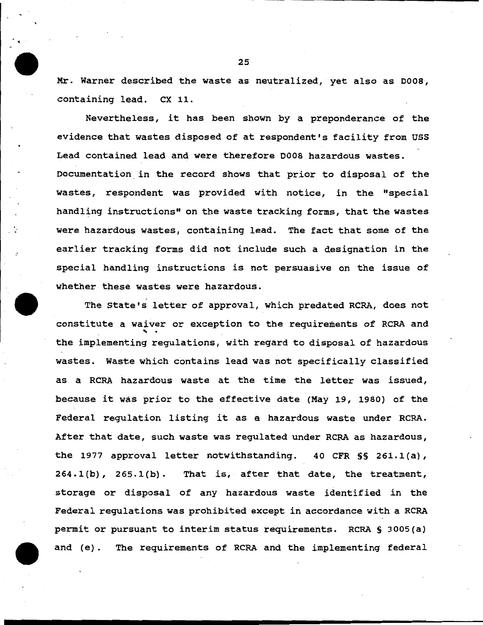Mr. Warner described the waste as neutralized, yet also as 0008, containing lead. ex 11.

Nevertheless, it has been shown by a preponderance of the evidence that wastes disposed of at respondent's facility from USS Lead contained lead and were therefore 0008 hazardous wastes. Documentation *in* the record shows that prior to disposal of the wastes, respondent was provided with notice, in the "special handling instructions" on the waste tracking forms, that the wastes were hazardous wastes, containing lead. The fact that some of the earlier tracking forms did not include such a designation in the special handling instructions is not persuasive on the issue of whether these wastes were hazardous.

The State's letter of approval, which predated RCRA, does not constitute a waiver or exception to the requirements of RCRA and<br>the implementing regulations, with regard to disposal of hazardous wastes. Waste which contains lead was not specifically classified as a RCRA hazardous waste at the time the letter was issued, because it was prior to the effective date {May 19, 1980) of the Federal regulation listing it as a hazardous waste under RCRA. After that date, such waste was regulated under RCRA as hazardous, the 1977 approval letter notwithstanding. 40 CFR § § 261.1(a),  $264.1(b)$ ,  $265.1(b)$ . That is, after that date, the treatment, storage or disposal of any hazardous waste identified in the Federal regulations was prohibited except *in* accordance with a RCRA permit or pursuant to interim status requirements. RCRA § 3005{a) and {e). The requirements of RCRA and the implementing federal

 $\cdot$  .

-·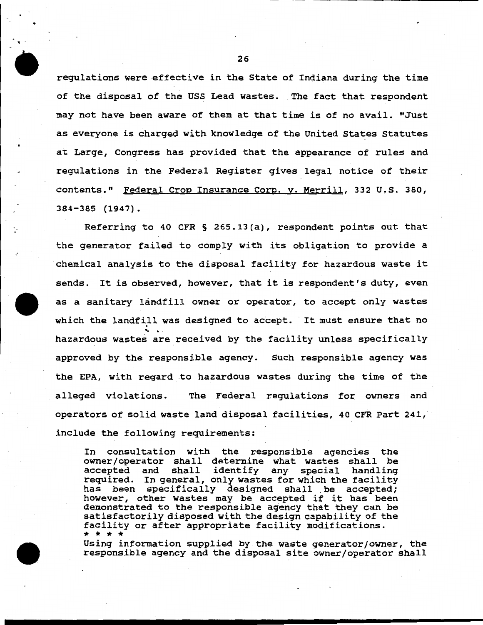regulations were effective in the State of Indiana during the time of the disposal of the USS Lead wastes. The fact that respondent may not have been aware of them at that time is of no avail. "Just as everyone is charged with knowledge of the United States Statutes at Large, Congress has provided that the appearance of rules and regulations in the Federal Register gives legal notice of their contents." Federal Crop Insurance Corp. v. Merrill, 332 u.s. 380, 384-385 (1947).

..

Referring to 40 CFR § 265.13(a), respondent points out that the generator failed to comply with its obligation to provide a chemical analysis to the disposal facility for hazardous waste it sends. It is observed, however, that it is respondent's duty, even as a sanitary landfill owner or operator, to accept only wastes which the landfill was designed to accept. It must ensure that no hazardous wastes are received by the facility unless specifically approved by the responsible agency. Such responsible agency was the EPA, with regard .to hazardous wastes during the time of the alleged violations. The Federal regulations for owners and operators of solid waste land disposal facilities, 40 CFR Part 241, include the following requirements:

In consultation with the responsible agencies the owner/operator shall determine what wastes shall be accepted and shall identify any special handling identify any special handling required. In general, only wastes for which the facility<br>has been specifically designed shall be accepted: heen specifically designed shall be accepted; however, other wastes may be accepted if it has been demonstrated to the responsible agency that they can be satisfactorily disposed with the design capability of the facility or after appropriate facility modifications.<br>\* \* \* \*

Using information supplied by the waste generator/owner, the responsible agency and the disposal site owner/operator shall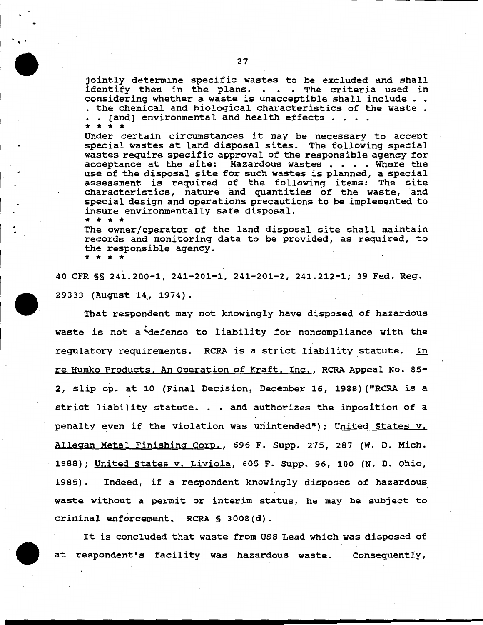27

•·

*:* 

jointly determine specific wastes to be excluded and shall identify them in the plans. . . . The criteria used in considering whether a waste is unacceptible shall include . . . the chemical and biological characteristics of the waste • • [and] environmental and health effects  $\cdots$ 

\* \* \* \* Under certain circumstances it may be necessary to accept special wastes at land. disposal sites. The following special wastes require specific approval of the responsible agency for acceptance at the site: Hazardous wastes . . . . Where the use of the disposal site for such wastes is planned, a special assessment is required of the following items: The site characteristics, nature and quantities of the waste, and special design and operations precautions to be implemented to insure environmentally safe disposal. \* \* \* \*

The owner/operator of the land disposal site shall maintain records and monitoring data to be provided, as required, to the responsible agency. \* \* \* \*

40 CFR §§ 241.200-1, 241-201-1, 241-201-2, 241.212-1; 39 Fed. Reg. 29333 (August 14\_, 1974).

That respondent may not knowingly have disposed of hazardous waste is not a ~defense to liability for noncompliance with the regulatory requirements. RCRA is a strict liability statute. In re Humko Products, An Operation of Kraft, Inc., RCRA Appeal No. 85- 2, slip op. at 10 (Final Decision, December 16, 1988) ("RCRA is a strict liability statute. . • and authorizes the imposition of a penalty even if the violation was unintended"); United States v. Allegan Metal Finishing Corp., 696 F. Supp. 275, 287 (W. D. Mich. 1988); United States v. Liviola, 605 F. Supp. 96, 100 (N. D. Ohio, 1985). Indeed, if a respondent knowingly disposes of hazardous waste without a permit or interim status, he may be subject to criminal enforcement, RCRA § 3008(d).

It is concluded that waste from USS Lead which was disposed of at respondent's facility was hazardous waste. Consequently,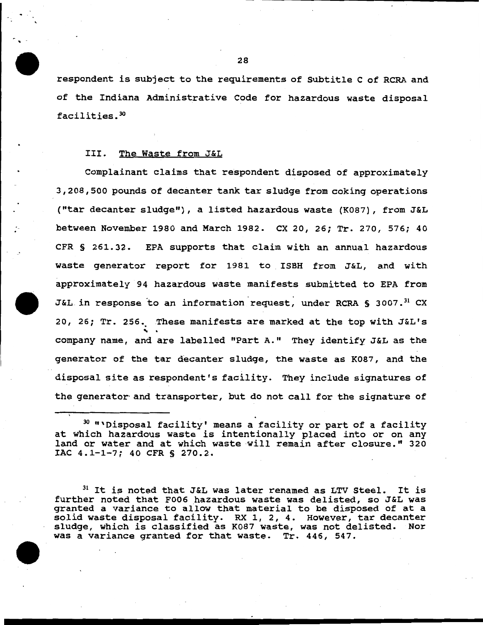respondent is subject to the requirements of Subtitle c of RCRA and of the Indiana Administrative Code for hazardous waste disposal facilities. <sup>30</sup>

### III. The Waste from J&L

..

Complainant claims that respondent disposed of approximately 3,208,500 pounds of decanter tank tar sludge from coking operations ("tar decanter sludge"), a listed hazardous waste (K087), from J&L between November 1980 and March 1982. CX 20, 26; Tr. 270, 576; 40 CFR § 261.32. EPA supports that claim with an annual hazardous waste generator report for 1981 to ISBH from J&L, and with approximately 94 hazardous waste manifests submitted to EPA from J&L in response to an information request, under RCRA § 3007.<sup>31</sup> CX 20, 26; Tr. 256. These manifests are marked at the top with J&L's company name, and are labelled "Part A." They identify J&L as the generator of the tar decanter sludge, the waste as K087, and the disposal site as respondent's facility. They include signatures of the generator and transporter, but do not call for the signature of

<sup>&</sup>lt;sup>30</sup> "'Disposal facility' means a facility or part of a facility at which hazardous waste is intentionally placed into or on any land or water and at which waste will remain after closure." 320 IAC 4.1-1-7; 40 CFR § 270.2.

 $31$  It is noted that J&L was later renamed as LTV Steel. It is further noted that F006 hazardous waste was delisted, so J&L was granted a variance to allow that material to be disposed of at a solid waste disposal facility. RX 1, 2, 4. However, tar decanter sludge, which is classified as K087 waste, was not delisted. Nor was a variance granted for that waste. Tr. 446, 547.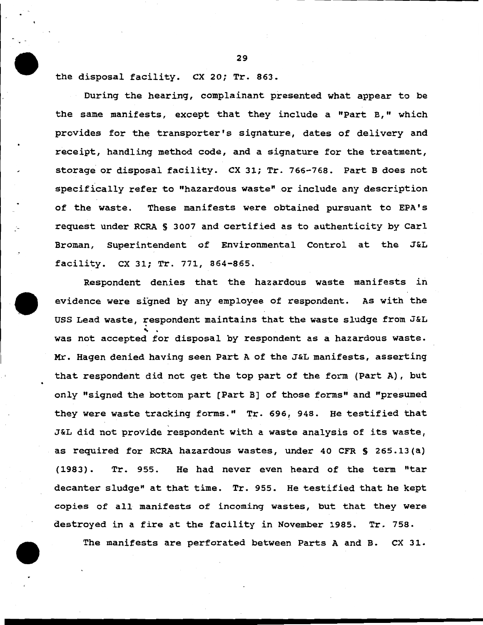the disposal facility. CX 20; Tr. 863.

During the hearing, complainant presented what appear to be the same manifests, except that they include a "Part B," which provides for the transporter's signature, dates of delivery and receipt, handling method code, and a signature for the treatment, storage or disposal facility. ex 31; Tr. 766-768. Part B does not specifically refer to "hazardous waste" or include any description of the waste. These manifests were obtained pursuant to EPA's request under RCRA § 3007 and certified as to authenticity by Carl Broman, Superintendent of Environmental Control at the J&L facility. ex 31; Tr. 771, 864-865.

Respondent denies that the hazardous waste manifests in evidence were signed by any employee of respondent. As with the USS Lead waste, respondent maintains that the waste sludge from J&L was not accepted for disposal by respondent as a hazardous waste. Mr. Hagen denied having seen Part A of the J&L manifests, asserting that respondent did not get the top part of the form (Part A), but only "signed the bottom part (Part B] of those forms" and "presumed they were waste tracking forms." Tr. 696, 948. He testified that ' J&L did not provide respondent with a waste analysis of its waste, as required for RCRA hazardous wastes, under 40 CFR S 265.13 (a) (1983). Tr. 955. He had never even heard of the term "tar decanter sludge" at that time. Tr. 955. He testified that he kept copies of all manifests of incoming wastes, but that they were destroyed in a fire at the facility in November 1985. Tr. 758.

The manifests are perforated between Parts A and B. CX 31.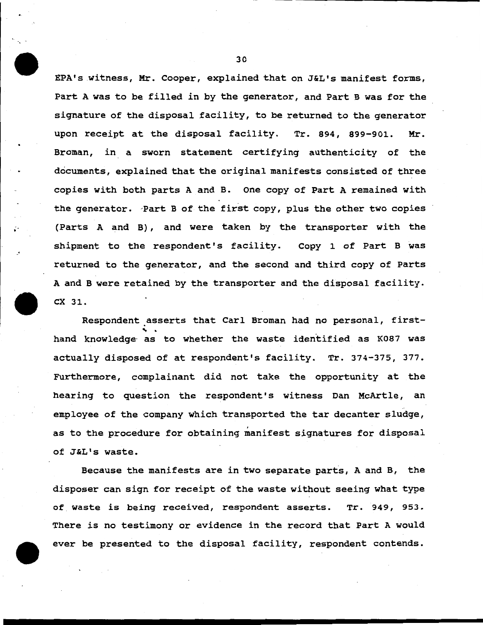EPA's witness, Mr. Cooper, explained that on J&L's manifest forms, Part A was to be filled in by the generator, and Part B was for the signature of the disposal facility, to be returned to the generator upon receipt at the disposal facility. Tr. 894, 899-901. Mr. Broman, in a sworn statement certifying authenticity of the documents, explained that the original manifests consisted of three copies with both parts A and B. One copy of Part A remained with the generator. Part B of the first copy, plus the other two copies ; (Parts A and B), and were taken by the transporter with the shipment to the respondent's facility. Copy 1 of Part B was returned to the generator, and the second and third copy of Parts A and B were retained by the transporter and the disposal facility. ex 31.

-·

Respondent asserts that Carl Broman had no personal, firsthand knowledge as to whether the waste identified as K087 was actually disposed of at respondent's facility. Tr. 374-375, 377. Furthermore, complainant did not take the opportunity at the hearing to question the respondent's witness Dan McArtle, an employee of the company which transported the tar decanter sludge, as to the procedure for obtaining manifest signatures for disposal of J&L's waste.

Because the manifests are in two separate parts, A and B, the disposer can sign for receipt of the waste without seeing what type of waste is being received, respondent asserts. Tr. 949, 953. There is no testimony or evidence in the record that Part A would ever be presented to the disposal facility, respondent contends.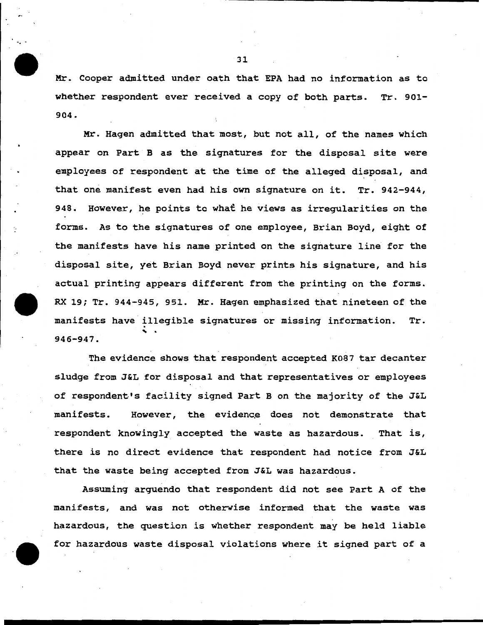Mr. Cooper admitted under oath that EPA had no information as to whether respondent ever received a copy of both parts. Tr. 901- 904.

Mr. Hagen admitted that most, but not all, of the names which appear on Part B as the signatures for the disposal site were employees of respondent at the time of the alleged disposal, and that one manifest even had his own signature on it. Tr. 942-944, 948. However, he points to what he views as irregularities on the forms. As to the signatures of one employee, Brian Boyd, eight of the manifests have his name printed on the signature line for the disposal site, yet Brian Boyd never prints his signature, and his actual printing appears different from the printing on the forms. RX 19; Tr. 944-945, 951. Mr. Hagen emphasized that nineteen of the manifests have illegible signatures or missing information. Tr. ' . 946-947.

The evidence shows that respondent accepted K087 tar decanter sludge from J&L for disposal and that representatives or employees of respondent's facility signed Part B on the majority of the J&L manifests. However, the evidence does not demonstrate that respondent knowingly accepted the waste as hazardous. That is, there is no direct evidence that respondent had notice from J&L that the waste being accepted from J&L was hazardous.

Assuming arguendo that respondent did not see Part A of the manifests, and was not otherwise informed that the waste was hazardous, the question is whether respondent may be held liable for hazardous waste disposal violations where it signed part of a

.. -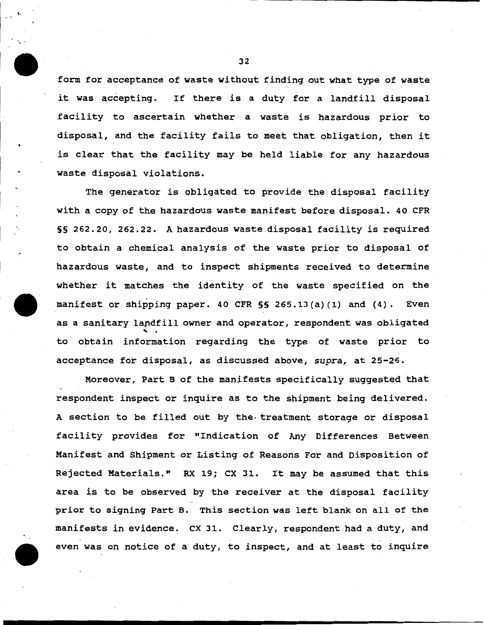form for acceptance of waste without finding out what type of waste it was accepting. If there *is* a duty for a landfill disposal facility to ascertain whether a waste is hazardous prior to disposal, and the facility fails to meet that obligation, then it is clear that the facility may be held liable for any hazardous waste disposal violations.

The generator *is* obligated to provide the disposal facility with a copy of the hazardous waste manifest before disposal. 40 CFR §§ 262.20, 262.22. A hazardous waste disposal facility *is* required to obtain a chemical analysis of the waste prior to disposal of hazardous waste, and to inspect shipments received to determine whether it matches the identity of the waste specified on the manifest or shipping paper. 40 CFR §§ 265.13(a) (1) and (4). Even as a sanitary landfill owner and operator, respondent was obligated<br>to obtain information regarding the type of waste prior to acceptance for disposal, as discussed above, *supra,* at 25-2·6.

Moreover, Part B of the manifests specifically suggested that respondent inspect or inquire as to the shipment being delivered. A section to be filled out by the· treatment storage or disposal facility provides for "Indication of Any Differences Between Manifest and Shipment or Listing of Reasons For and Disposition of Rejected Materials." RX 19; ex 31. It may be assumed that this area is to be observed by the receiver at the disposal facility prior to signing Part B. This section was left blank on all of the manifests in evidence. ex 31. Clearly, respondent had a duty, and even was on notice of a duty, to inspect, and at least to inquire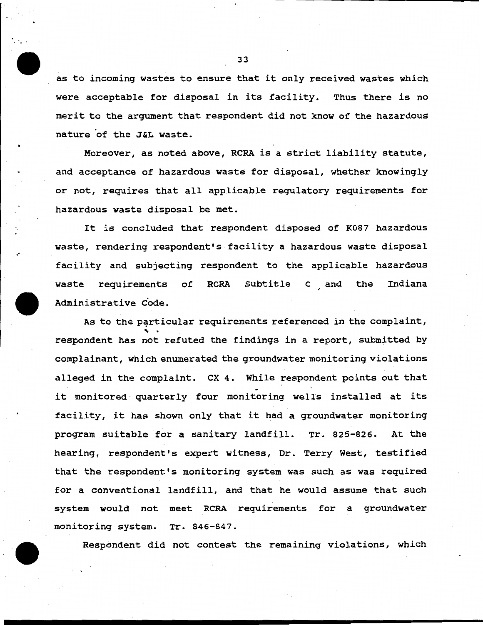as to incoming wastes to ensure that it only received wastes which were acceptable for disposal in its facility. Thus there is no merit to the argument that respondent did not know of the hazardous nature of the J&L waste.

Moreover, as noted above, RCRA is a strict liability statute, and acceptance of hazardous waste for disposal, whether knowingly or not, requires that all applicable regulatory requirements for hazardous waste disposal be met.

It is concluded that respondent disposed of K087 hazardous waste, rendering respondent's facility a hazardous waste disposal facility and subjecting respondent to the applicable hazardous waste requirements of RCRA Subtitle C and the Administrative Code. Indiana

As to the particular requirements referenced in the complaint, respondent has not refuted the findings in a report, submitted by complainant, which enumerated the groundwater monitoring violations alleged *in* the complaint. ex 4. While respondent points out that it monitored quarterly four monitoring wells installed at its facility, it has shown only that it had a groundwater monitoring program suitable for a sanitary landfill. Tr. 825-826. At the hearing, respondent's expert witness, Dr. Terry West, testified that the respondent's monitoring system was such as was required for a conventional landfill, and that he would assume that such system would not meet RCRA requirements for a groundwater monitoring system. Tr. 846-847.

Respondent did not contest the remaining violations, which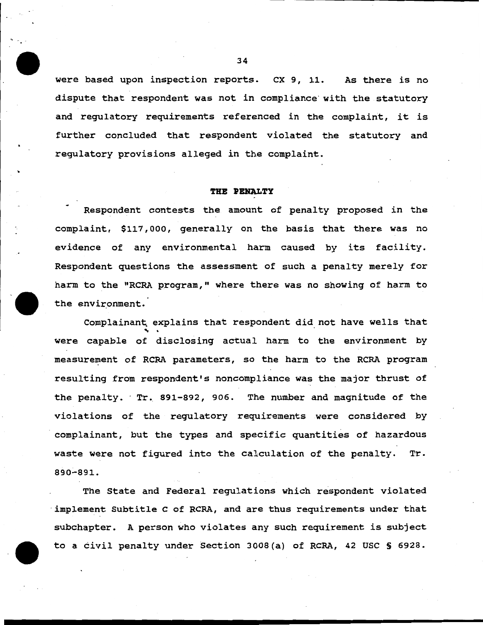were based upon inspection reports. ex 9, 11. As there is no dispute that respondent was not in compliance with the statutory and regulatory requirements referenced in the complaint, it is further concluded that respondent violated the statutory and regulatory provisions alleged in the complaint.

#### **TRB PENALTY**

Respondent contests the amount of penalty proposed in the complaint, \$117,000, generally on the basis that there was no evidence of any environmental harm caused by its facility. Respondent questions the assessment of such a penalty merely for harm to the "RCRA program," where there was no showing of harm to the environment.

Complainan~ explains that respondent did not have wells that ... . were capable of disclosing actual harm to the environment by measurement of RCRA parameters, so the harm to the RCRA program resulting from respondent's noncompliance was the major thrust of the penalty. Tr. 891-892, 906. The number and magnitude of the violations of the regulatory requirements were considered by complainant, but the types and specific quantities of hazardous waste were not figured into the calculation of the penalty. Tr. 890-891.

The State and Federal regulations which respondent violated ·implement Subtitle c of RCRA, and are thus requirements under that subchapter. A person who violates any such requirement is subject to a civil penalty under Section 3008(a) of RCRA, 42 USC § 6928.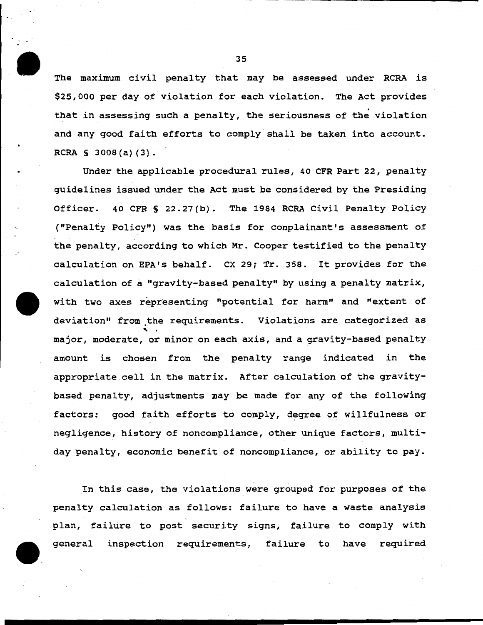The maximum civil penalty that may be assessed under RCRA is \$25,000 per day of violation for each violation. The Act provides . that in assessing such a penalty, the seriousness of the violation and any good faith efforts to comply shall be taken into account. RCRA § 3008(a) $(3)$ .

Under the applicable procedural rules, 40 CFR Part 22, penalty guidelines issued under the Act must be considered by the Presiding Officer. 40 CFR § 22.27(b). The 1984 RCRA Civil Penalty Policy <sup>~</sup>("Penalty Policy") was the basis for complainant's assessment of the penalty, according to which Mr. Cooper testified to the penalty calculation on EPA's behalf. ex 29; Tr. 358. It provides for the calculation of a "gravity-based penalty" by using a penalty matrix, with two axes representing "potential for harm" and "extent of deviation" from the requirements. Violations are categorized as<br>major, moderate, or minor on each axis, and a gravity-based penalty amount is chosen from the penalty range indicated in the appropriate cell in the matrix. After calculation of the gravitybased penalty, adjustments may be made for any of the following factors: good faith efforts to comply, degree of willfulness or negligence, history of noncompliance, other unique factors, multiday penalty, economic benefit of noncompliance, or ability to pay.

In this case, the violations were grouped for purposes of the penalty calculation as follows: failure to have a waste analysis plan, failure to post security signs, failure to comply with general inspection requirements, failure to have required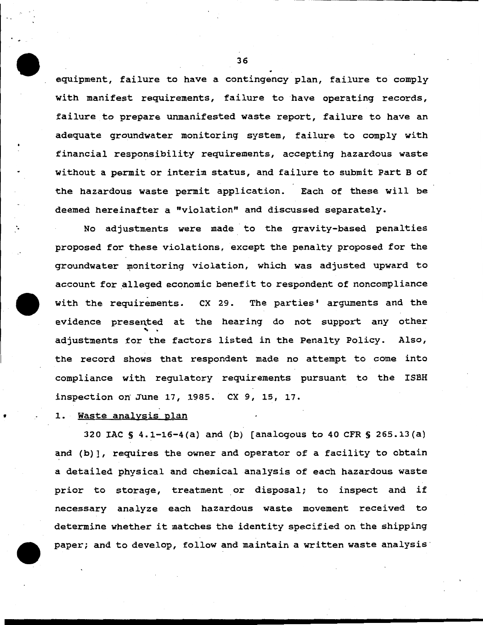equipment, failure to have a contingency plan, failure to comply with manifest requirements, failure to have operating records, failure to prepare unmanifested waste report, failure to have an adequate groundwater monitoring system, failure to comply with financial responsibility requirements, accepting hazardous waste without a permit or interim status, and failure to submit Part B of the hazardous waste permit application. Each of these will be deemed hereinafter a "violation" and discussed separately.

No adjustments were made to the gravity-based penalties proposed for these violations, except the penalty proposed for the groundwater monitoring violation, which was adjusted upward to account for alleged economic benefit to respondent of noncompliance with the requirements. ex 29. The parties' arguments and the evidence presented at the hearing do not support any other adjustments for the factors listed in the Penalty Policy. Also, the record shows that respondent made no attempt to come into compliance with regulatory requirements pursuant to the ISBH inspection on June 17, 1985. ex 9, 15, 17.

# 1. Waste analysis plan

•

320 IAC  $S$  4.1-16-4(a) and (b) [analogous to 40 CFR  $S$  265.13(a) and (b)], requires the owner and operator of a facility to obtain a detailed physical and chemical analysis of each hazardous waste prior to storage, treatment or disposal; to inspect and if necessary analyze each hazardous waste movement received to determine whether it matches the identity specified on the shipping paper; and to develop, follow and maintain a written waste analysis

.................... ------------------------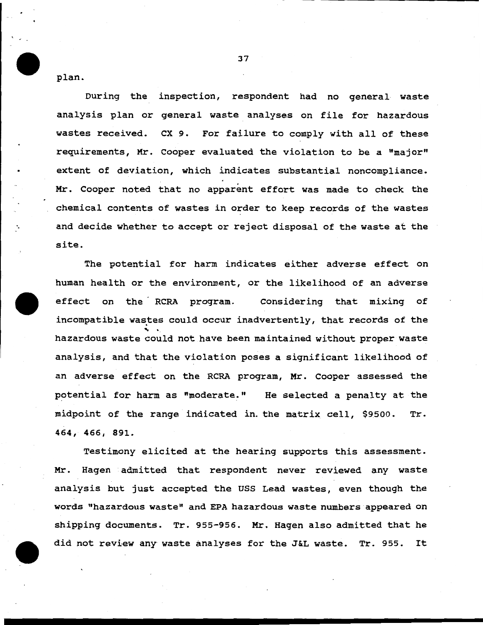plan.

During the inspection, respondent had no general waste analysis plan or general waste analyses on file for hazardous wastes received. ex 9. For failure to comply with all of these requirements, Mr. Cooper evaluated the violation to be a "major" extent of deviation, which indicates substantial noncompliance. Mr. Cooper noted that no apparent effort was made to check the chemical contents of wastes in order to keep records of the wastes and decide whether to accept or reject disposal of the waste at the site.

The potential for harm indicates either adverse effect on human health or the environment, or the likelihood of an adverse effect on the RCRA program. Considering that mixing of incompatible wastes could occur inadvertently, that records of the hazardous waste could not have been maintained without proper waste analysis, and that the violation poses a significant likelihood of an adverse effect on the RCRA program, Mr. Cooper assessed the potential for harm as "moderate." He selected a penalty at the midpoint of the range indicated in. the matrix cell, \$9500. Tr. 464, 466, 891.

Testimony elicited at the hearing supports this assessment. Mr. Hagen admitted that respondent never reviewed any waste analysis but just accepted the USS Lead wastes, even though the words "hazardous waste" and EPA hazardous waste numbers appeared on shipping documents. Tr. 955-956. Mr. Hagen also admitted that he did not review any waste analyses for the J&L waste. Tr. 955. It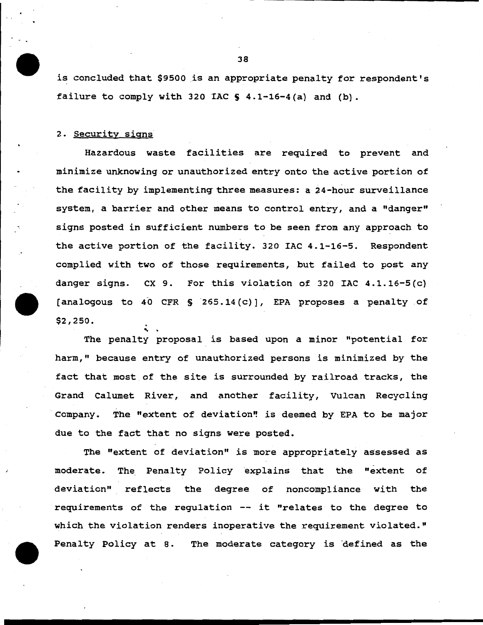is concluded that \$9500 is an appropriate penalty for respondent's failure to comply with 320 IAC  $S$  4.1-16-4(a) and (b).

### 2. Security signs

Hazardous waste facilities are required to prevent and minimize unknowing or unauthorized entry onto the active portion of the facility by implementing three measures: a 24-hour surveillance system, a barrier and other means to control entry, and a "danger" signs posted in sufficient numbers to be seen from any approach to the active portion of the facility. 320 IAC 4.1-16-5. Respondent complied with two of those requirements, but failed to post any danger signs. ex 9. For this violation of 320 IAC 4.1.16-5(c) [analogous to 40 CFR § 265.14 $(c)$ ], EPA proposes a penalty of \$2,250.<br>The penalty proposal is based upon a minor "potential for

harm," because entry of unauthorized persons is minimized by the fact that most of the site is surrounded by railroad tracks, the Grand Calumet River, and another facility, Vulcan Recycling Company. The "extent of deviation" is deemed by EPA to be major due to the fact that no signs were posted.

The "extent of deviation" is more appropriately assessed as moderate. The Penalty Policy explains that the "extent of deviation" reflects the degree of noncompliance with the requirements of the regulation -- it "relates to the degree to which the violation renders inoperative the requirement violated." Penalty Policy at 8. The moderate category is defined as the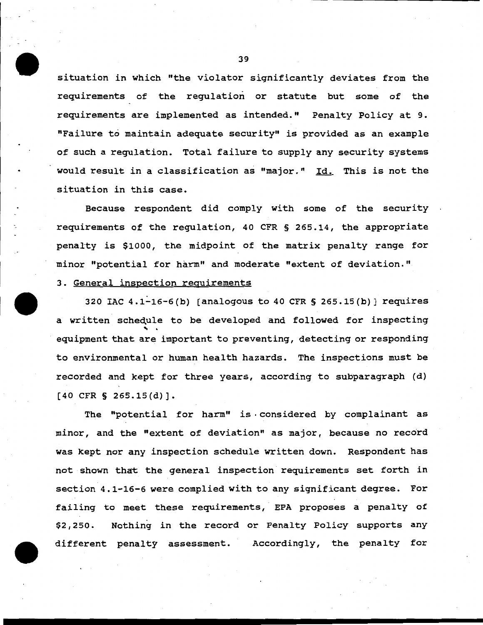situation in which "the violator significantly deviates from the requirements of the regulation or statute but some of the requirements are implemented as intended." Penalty Policy at 9. "Failure to maintain adequate security" is provided as an example of such a regulation. Total failure to supply any security systems would result in a classification as "major." Id. This is not the situation in this case.

Because respondent did comply with some of the security requirements of the requlation, 40 CFR § 265.14, the appropriate penalty is \$1000, the midpoint of the matrix penalty range for minor "potential for harm" and moderate "extent of deviation."

# 3. General inspection requirements

320 IAC  $4.1-16-6(b)$  [analogous to  $40$  CFR § 265.15(b)] requires a written schedule to be developed and followed for inspecting equipment that are important to preventing, detecting or responding to environmental or human health hazards. The inspections must be recorded and kept for three years, according to subparagraph (d) [40 CFR § 265.15(d)].

The "potential for harm" is considered by complainant as minor, and the "extent of deviation" as major, because no record was kept nor any inspection schedule written down. Respondent has not shown that the general inspection requirements set forth in section 4.1-16-6 were complied with to any significant degree. For failing to meet these requirements, EPA proposes a penalty of \$2,250. Nothing in the record or Penalty Policy supports any different penalty assessment. Accordingly, the penalty for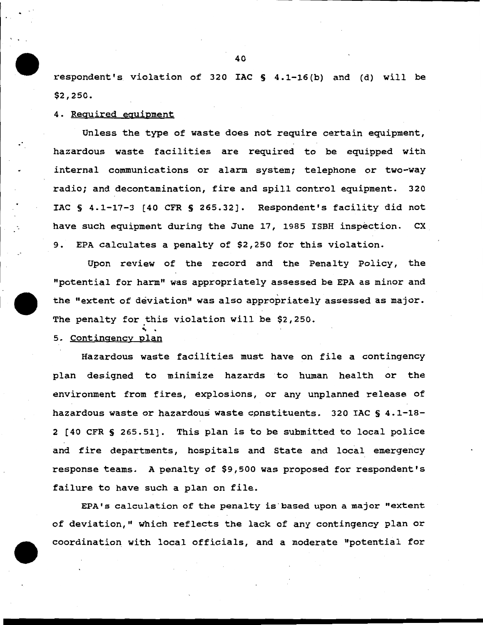respondent's violation of 320 IAC S 4.1-16 (b) and (d) will be \$2,250.

4. Required equipment

Unless the type of waste does not require certain equipment, hazardous waste facilities are required to be equipped with internal communications or alarm system; telephone or two-way radio; and decontamination, fire and spill control equipment. 320 IAC § 4.1-17-3 [40 CFR § 265.32]. Respondent's facility did not have such equipment during the June 17, 1985 ISBH inspection. CX 9. EPA calculates a penalty of \$2,250 for this violation.

Upon review of the record and the Penalty Policy, the "potential for harm" was appropriately assessed be EPA as minor and the "extent of deviation" was also appropriately assessed as major. The penalty for this violation will be \$2,250.

5. Contingency plan

Hazardous waste facilities must have on file a contingency plan designed to minimize hazards to human health or the environment from fires, explosions, or any unplanned release of hazardous waste or hazardous waste cpnstituents. 320 IAC § 4.1-18- 2 [40 CFR § 265.51]. This plan is to be submitted to local police and fire departments, hospitals and State and local emergency response teams. A penalty of \$9,500 was proposed for respondent's failure to have such a plan on file.

EPA's calculation of the penalty is based upon a major "extent of deviation," which reflects the lack of any contingency plan or coordination with local officials, and a moderate "potential for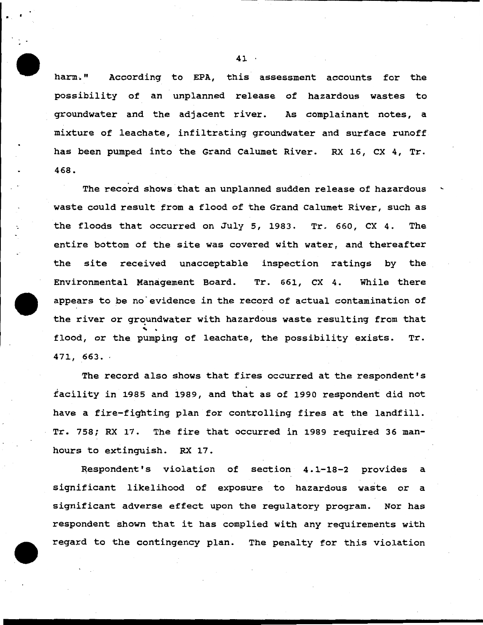harm." According to EPA, this assessment accounts for the possibility of an unplanned release of hazardous wastes to groundwater and the adjacent river. As complainant notes, a mixture of leachate, infiltrating groundwater and surface runoff has been pumped into the Grand Calumet River. RX 16, CX 4, Tr. 468.

The record shows that an unplanned sudden release of hazardous waste could result from a flood of the Grand Calumet River, such as the floods that occurred on July 5, 1983. Tr. 660, CX 4. The entire bottom of the site was covered with water, and thereafter the site received unacceptable inspection ratings by the Environmental Management Board. Tr. 661, CX 4. While there appears to be no evidence in the record of actual contamination of the river or groundwater with hazardous waste resulting from that flood, or the pumping of leachate, the possibility exists. Tr. 471, 663 •.

The record also shows that fires occurred at the respondent's facility in 1985 and 1989, and that as of 1990 respondent did not have a fire-fighting plan for controlling fires at the landfill. Tr. 758; RX 17. The fire that occurred in 1989 required 36 manhours to extinguish. RX 17.

Respondent's violation of section 4.1-18-2 provides a significant likelihood of exposure to hazardous waste or a significant adverse effect upon the regulatory program. Nor has respondent shown that it has complied with any requirements with regard to the contingency plan. The penalty for this violation

41

 $\ddot{\cdot}$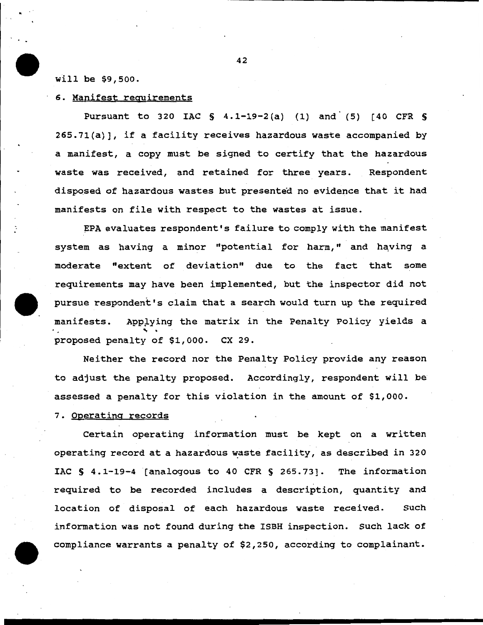### will be \$9,500.

## 6. Manifest requirements

Pursuant to 320 IAC S 4.1-19-2(a) (1) and (5) [40 CFR S 265.71(a)], if a facility receives hazardous waste accompanied by a manifest, a copy must be signed to certify that the hazardous waste was received, and retained for three years. Respondent disposed of hazardous wastes but presented no evidence that it had manifests on file with respect to the wastes at issue.

EPA evaluates respondent's failure to comply with the manifest system as having a minor "potential for harm," and having a moderate "extent of deviation" due to the fact that some requirements may have been implemented, but the inspector did not pursue respondent's claim that a search would turn up the required manifests. Applying the matrix in the Penalty Policy yields a<br>... . . . . . . .<br>proposed penalty of \$1,000. CX 29.

Neither the record nor the Penalty Policy provide any reason to adjust the penalty proposed. Accordingly, respondent will be assessed a penalty for this violation in the amount of \$1,000.

## 7. Operating records

Certain operating information must be kept on a written operating record at a hazardous waste facility, as described in 320 IAC S 4.1-19-4 (analogous to 40 CFR § 265.73]. The information required to be recorded includes a description, quantity and location of disposal of each hazardous waste received. Such information was not found during the ISBH inspection. Such lack of compliance warrants a penalty of \$2,250, according to complainant.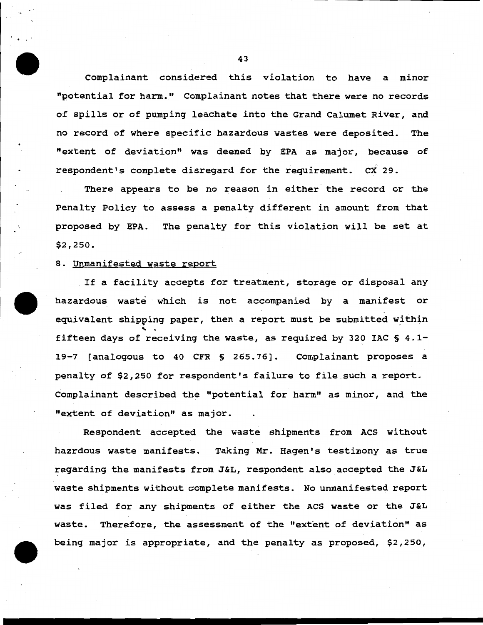Complainant considered this violation to have a minor "potential for harm." Complainant notes that there were no records of spills or of pumping leachate into the Grand Calumet River, and no record of where specific hazardous wastes were deposited. The "extent of deviation" was deemed by EPA as major, because of respondent's complete disregard for the requirement. ex 29.

There appears to be no reason in either the record or the Penalty Policy to assess a penalty different in amount from that proposed by EPA. The penalty for this violation will be set at \$2,250.

### 8. Unmanifested waste report

If a facility accepts for treatment, storage or disposal any hazardous waste which is not accompanied by a manifest or equivalent shipping paper, then a report must be submitted within fifteen days of receiving the waste, as required by 320 IAC  $\S$  4.1-19-7 (analogous to 40 CFR § 265. 76]. Complainant proposes a penalty of \$2,250 for respondent's failure to file such a report. c'omplainant described the "potential for harm" as minor, and the "extent of deviation" as major.

Respondent accepted the waste shipments from ACS without hazrdous waste manifests. Taking Mr. Hagen's testimony as true regarding the manifests from J&L, respondent also accepted the J&L waste shipments without complete manifests. No unmanifested report was filed for any shipments of either the ACS waste or the J&L waste. Therefore, the assessment of the "extent of deviation" as being major is appropriate, and the penalty as proposed, \$2,250,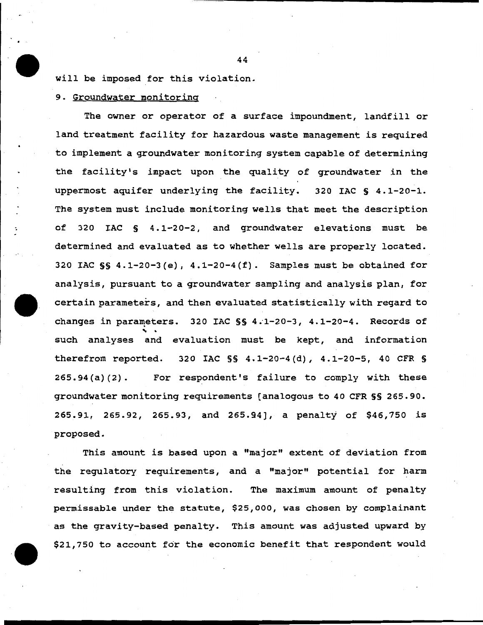will be imposed for this violation.

9. Groundwater monitoring

The owner or operator of a surface impoundment, landfill or land treatment facility for hazardous waste management is required to implement a groundwater monitoring system capable of determining the facility's impact upon the quality of groundwater in the uppermost aquifer underlying the facility. 320 IAC § 4.1-20-1. The system must include monitoring wells that meet the description of 320 IAC § 4.1-20-2, and groundwater elevations must be determined and evaluated as to whether wells are properly located. 320 IAC  $\S$  4.1-20-3(e), 4.1-20-4(f). Samples must be obtained for analysis, pursuant to a groundwater sampling and analysis plan, for certain parameters, and then evaluated statistically with regard to changes in parameters. 320 IAC §§ 4.1-20-3, 4.1-20-4. Records of<br>such analyses and evaluation must be kept, and information therefrom reported. 320 IAC  $\S$  4.1-20-4(d), 4.1-20-5, 40 CFR  $\S$ 265.94(a) (2). For respondent's failure to comply with these groundwater monitoring requirements [analogous to 40 CFR §§ 265.90. 265.91, 265.92, 265.93, and 265.94], a penalty of \$46,750 is proposed.

This amount is based upon a "major" extent of deviation from the regulatory requirements, and a "major" potential for harm resulting from this violation. The maximum amount of penalty permissable under the statute, \$25,000, was chosen by complainant as the gravity-based penalty. This amount was adjusted upward by \$21,750 to account for the economic benefit that respondent would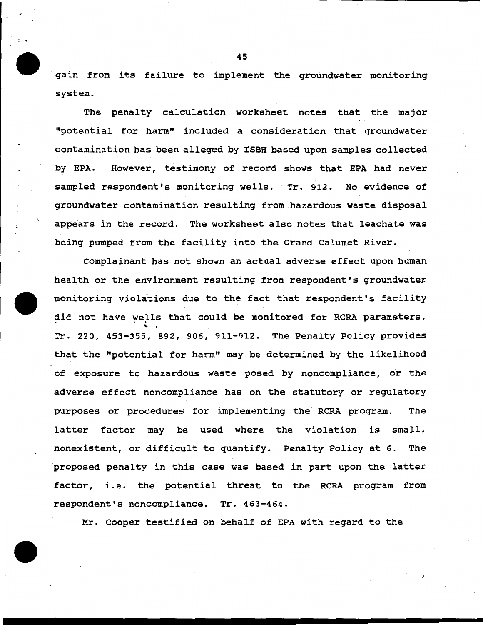gain from its failure to implement the groundwater monitoring system.

The penalty calculation worksheet notes that the major ''potential for harm" included a consideration that groundwater contamination has been alleged by ISBH based upon samples collected by EPA. However, testimony of record shows that EPA had never sampled respondent's monitoring wells. Tr. 912. No evidence of groundwater contamination resulting from hazardous waste disposal appears in the record. The worksheet also notes that leachate was being pumped from the facility into the Grand Calumet River.

Complainant has not shown an actual adverse effect upon human health or the environment resulting from respondent's groundwater monitoring violations due to the fact that respondent's facility did not have wells that could be monitored for RCRA parameters. Tr. 220, 453-355, 892, 906, 911-912. The Penalty Policy provides that the "potential for harm" may be determined by the likelihood of exposure to hazardous waste posed by noncompliance, or the adverse effect noncompliance has on the statutory or regulatory purposes or procedures for implementing the RCRA program. The latter factor may be used where the violation is small, nonexistent, or difficult to quantify. Penalty Policy at 6. The ·proposed penalty in this case was based in part upon the latter factor, i.e. the potential threat to the RCRA program from respondent's noncompliance. Tr. 463-464.

Mr. Cooper testified on behalf of EPA with regard to the

45

r •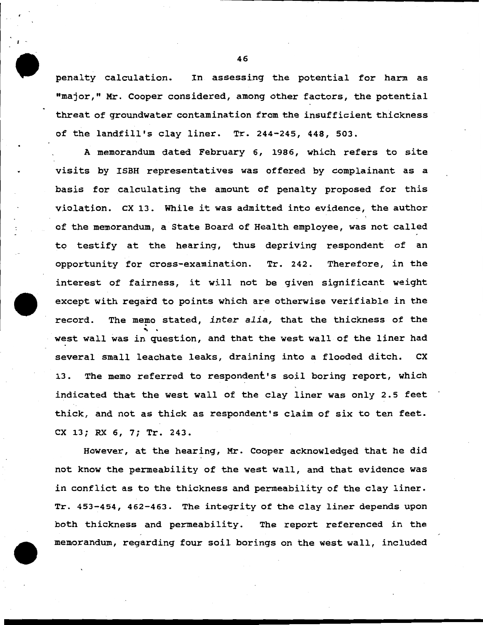penalty calculation. In assessing the potential for harm as "major," Mr. Cooper considered, among other factors, the potential threat of groundwater contamination from the insufficient thickness of the landfill's clay liner. Tr. 244-245, 448, 503.

A memorandum dated February 6, 1986, which refers to site visits by ISBH representatives was offered by complainant as a basis for calculating the amount of penalty proposed for this violation. ex 13. While it was admitted into evidence, the author of the memorandum, a State Board of Health employee, was not called to testify at the hearing, thus depriving respondent of an opportunity for cross-examination. Tr. 242. Therefore, in the interest of fairness, it will not be given significant weight except with regard to points which are otherwise verifiable in the record. The memo stated, *inter alia,* that the thickness of the<br>west wall was in question, and that the west wall of the liner had several small leachate leaks, draining into a flooded ditch. ex 13. The memo referred to respondent's soil boring report, which indicated that the west wall of the clay liner was only 2.5 feet thick, and not as thick as respondent's claim of six to ten feet. ex 13; RX 6, 7; Tr. 243.

However, at the hearing, Mr. Cooper acknowledged that he did not know the permeability of the west wall, and that evidence was in conflict as to the thickness and permeability of the clay liner. Tr. 453-454, 462-463. The integrity of the clay liner depends upon both thickness and permeability. The report referenced in the memorandum, regarding four soil borings on the west wall, included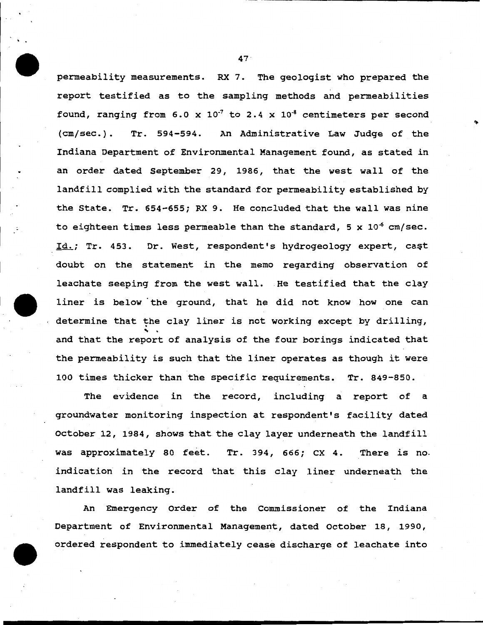permeability measurements. RX 7. The geologist who prepared the report testified as to the sampling methods and permeabilities found, ranging from 6.0 x  $10^{-7}$  to 2.4 x  $10^{-8}$  centimeters per second (cm/sec.). Tr. 594-594. An Administrative Law Judge of the Indiana Department of Environmental Management found, as stated *in*  an order dated September 29, 1986, that the west wall of the landfill complied with the standard for permeability established by the State. Tr. 654-655; RX 9. He concluded that the wall was *nine*  to eighteen times less permeable than the standard, 5 x  $10<sup>-6</sup>$  cm/sec. Id.; Tr. 453. Dr. West, respondent's hydrogeology expert, cast doubt on the statement *in* the memo regarding observation of leachate seeping from the west wall. He testified that the clay liner is below ·the ground, that he did not know how one can determine that the clay liner is not working except by drilling, and that the report of analysis of the four borings indicated that the permeability is such that the liner operates as though it were 100 times thicker than the specific requirements. Tr. 849-850.

The evidence *in* the record, including a report of a groundwater monitoring inspection at respondent's facility dated October 12, 1984, shows that the clay layer underneath the landfill was approximately 80 feet. Tr. 394, 666; CX 4. There is no. indication in the record that this clay liner underneath the landfill was leaking.

An Emergency Order of the Commissioner of the Indiana Department of Environmental Management, dated October 18, 1990, ordered respondent to immediately cease discharge of leachate into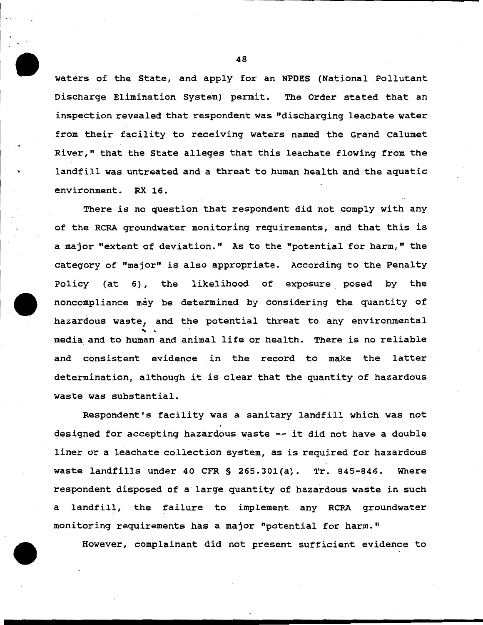waters of the State, and apply for an NPDES (National Pollutant Discharge Elimination System) permit. The Order stated that an inspection revealed that respondent was "discharging leachate water from their facility to receiving waters named the Grand Calumet River," that the State alleges that this leachate flowing from the landfill was untreated and a threat to human health and the aquatic environment. RX 16.

There is no question that respondent did not comply with any of the RCRA groundwater monitoring requirements, and that this is a major "extent of deviation." As to the "potential for harm," the category of "major" is also appropriate. According to the Penalty Policy (at 6), the likelihood of exposure posed by the noncompliance may be determined by considering the quantity of hazardous waste, and the potential threat to any environmental media and to human and animal life or health. There is no reliable and consistent evidence in the record to make the latter determination, although it is clear that the quantity of hazardous waste was substantial.

Respondent's facility was a sanitary landfill which was not designed for accepting hazardous waste -- it did not have a double liner or a leachate collection system, as is required for hazardous waste landfills under 40 CFR § 265.30l(a). Tr. 845-846. Where respondent disposed of a large quantity of hazardous waste in such a landfill, the failure to implement any RCRA groundwater monitoring requirements has a major "potential for harm.''

However, complainant did not present sufficient evidence to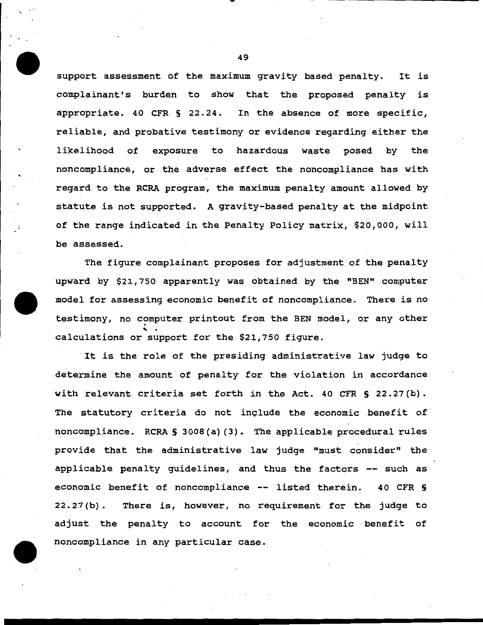support assessment of the maximum gravity based penalty. It is complainant's burden to show that the proposed penalty is appropriate. 40 CFR § 22.24. In the absence of more specific, reliable, and probative testimony or evidence regarding either the likelihood of exposure to hazardous waste posed by the noncompliance, or the adverse effect the noncompliance has with regard to the RCRA program, the maximum penalty amount allowed by statute is not supported. A gravity-based penalty at the midpoint of the range indicated in the Penalty Policy matrix, \$20,000, will be assessed.

The figure complainant proposes for adjustment of the penalty upward by \$21,750 apparently was obtained by the "BEN" computer model for assessing economic benefit of noncompliance. There is no testimony, no computer printout from the BEN model, or any other calculations or support for the \$21,750 figure.

It is the role of the presiding administrative law judge to determine the amount of penalty for the violation in accordance with relevant criteria set forth in the Act. 40 CFR § 22.27(b). The statutory criteria do not include the economic benefit of noncompliance. RCRA § 3008 (a) (3). The applicable procedural rules provide that the administrative law judge "must consider" the applicable penalty guidelines, and thus the factors -- such as economic benefit of noncompliance -- listed therein. 40 CFR § 22.27 (b) . There is, however, no requirement for the judge to adjust the penalty to account for the economic benefit of noncompliance in any particular case.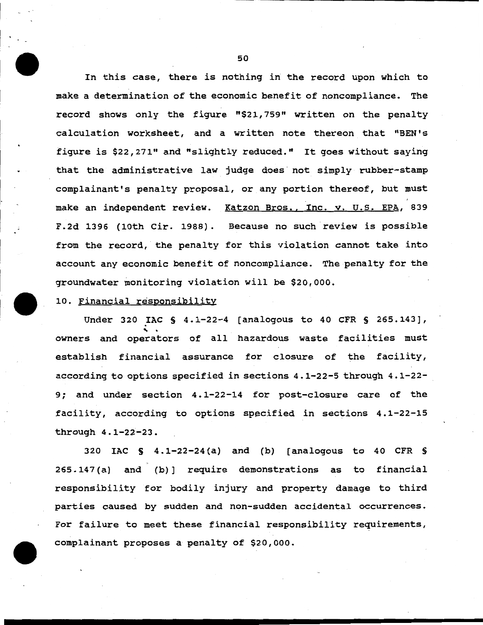In this case, there is nothing in the record upon which to make a determination of the economic benefit of noncompliance. The record shows only the figure "\$21, 759" written on the penalty calculation worksheet, and a written note thereon that "BEN's figure is \$22,271" and "slightly reduced." It goes without saying that the administrative law judge does not simply rubber-stamp complainant's penalty proposal, or any portion thereof, but must make an independent review. Katzon Bros., Inc. v. U.S. EPA, 839 F.2d 1396 (10th Cir. 1988). Because no such review is possible from the record, the penalty for this violation cannot take into account any economic benefit of noncompliance. The penalty for the groundwater monitoring violation will be \$20,000.

10. Financial responsibility

Under 320 IAC § 4.1-22-4 [analogous to 40 CFR § 265.143],<br>owners and operators of all hazardous waste facilities must establish financial assurance for closure of the facility, according to options specified in sections 4.1-22-5 through 4.1-22- 9; and under section 4 .1-22-14 for post-closure care of the facility, according to options specified in sections  $4.1-22-15$ through 4.1-22-23.

320 IAC S 4.1-22-24 (a) and (b) (analogous to 40 CFR S 265.147(a) and (b)] require demonstrations as to financial responsibility for bodily injury and property damage to third parties caused by sudden and non-sudden accidental occurrences. For failure to meet these financial responsibility requirements, complainant proposes a penalty of \$20,000.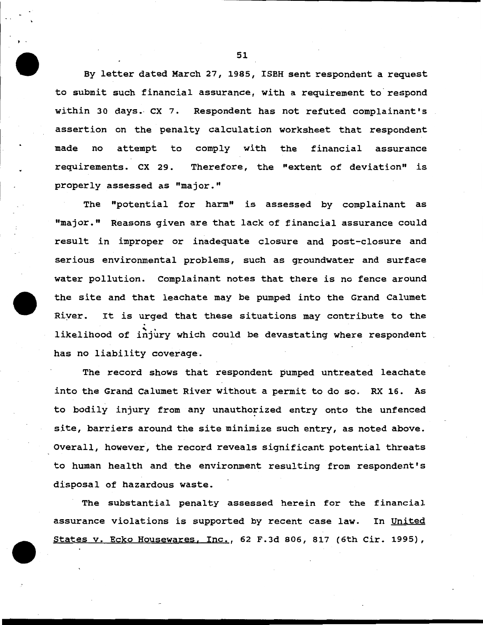By letter dated March 27, 1985, ISBH sent respondent a request to submit such financial assurance, with a requirement to respond within 30 days. CX 7. Respondent has not refuted complainant's assertion on the penalty calculation worksheet that respondent made no attempt to comply with the financial assurance requirements. CX 29. Therefore, the "extent of deviation" is properly assessed as "major."

The "potential for harm" is assessed by complainant as "major." Reasons given are that lack of financial assurance could result in improper or inadequate closure and post-closure and serious environmental problems, such as groundwater and surface water pollution. Complainant notes that there is no fence around the site and that leachate may be pumped into the Grand Calumet River. It is urged that these situations may contribute to the<br>likelihood of injury which could be devastating where respondent has no liability coverage.

The record shows that respondent pumped untreated leachate into the Grand Calumet River without a permit to do so. RX 16. As to bodily injury from any unauthorized entry onto the unfenced site, barriers around the site minimize such entry, as noted above. Overall, however, the record reveals significant potential threats to human health and the environment resulting from respondent's disposal of hazardous waste.

The substantial penalty assessed herein for the financial assurance violations is supported by recent case law. In United States v. Ecko Housewares, Inc., 62 F.3d 806, 817 (6th Cir. 1995),

51

t .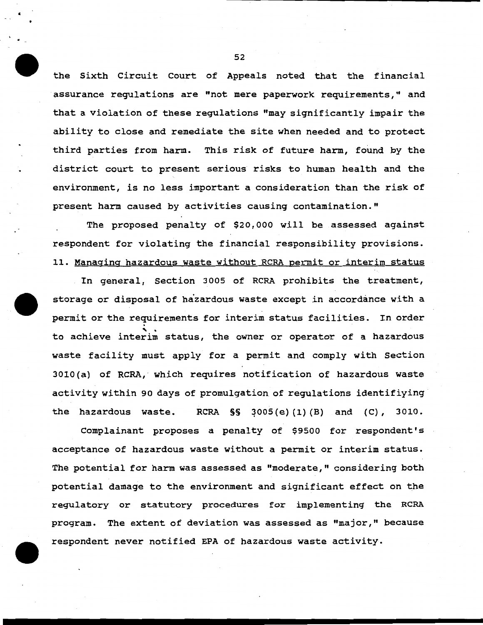the Sixth circuit Court of Appeals noted that the financial assurance regulations are "not mere paperwork requirements," and that a violation of these regulations "may significantly impair the ability to close and remediate the site when needed and to protect third parties from harm. This risk of future harm, found by the district court to present serious risks to human health and the environment, is no less important a consideration than the risk of present harm caused by activities causing contamination."

The proposed penalty of \$20, ooo will be assessed against respondent for violating the financial responsibility provisions. 11. Managing hazardous waste without RCRA permit or interim status

In general, Section 3005 of RCRA prohibits the treatment, storage or disposal of hazardous waste except in accordance with a permit or the requirements for interim status facilities. In order<br>to achieve interim status, the owner or operator of a hazardous waste facility must apply for a permit and comply with Section 3010(a) of RCRA, · which requires notification of hazardous waste activity within 90 days of promulgation of regulations identifiying the hazardous waste. RCRA  $\S$ § 3005(e)(1)(B) and (C), 3010.

Complainant proposes a penalty of \$9500 for respondent's acceptance of hazardous waste without a permit or interim status. The potential for harm was assessed as "moderate," considering both potential damage to the environment and significant effect on the regulatory or statutory procedures for implementing the RCRA program. The extent of deviation was assessed as "major," because respondent never notified EPA of hazardous waste activity.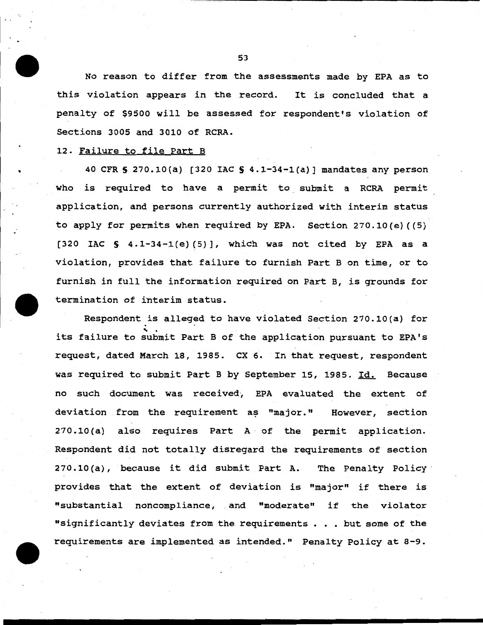No reason to differ from the assessments made by EPA as to this violation appears in the record. It is concluded that a penalty of \$9500 will be assessed for respondent's violation of Sections 3005 and 3010 of RCRA.

### 12. Failure to file Part B

40 CFR S 270.10{a) [320 IAC S 4.1-34-1{a)] mandates any person who is required to have a permit to submit a RCRA permit application, and persons currently authorized with interim status to apply for permits when required by EPA. Section 270.10{e) {(5) [320 IAC  $\S$  4.1-34-1(e)(5)], which was not cited by EPA as a violation, provides that failure to furnish Part B on time, or to furnish in full the information required on Part B, is grounds for termination of interim status.

Respondent is alleged to have violated Section 270.10(a) for<br>its failure to submit Part B of the application pursuant to EPA's request, dated March 18, 1985. ex 6. In that request, respondent was required to submit Part B by September 15, 1985. Id. Because no such document was received, EPA evaluated the extent of deviation from the requirement as "major." However, section  $270.10(a)$  also requires Part A of the permit application. Respondent did not totally disregard the requirements of section 270.10 {a), because it did submit Part A. The Penalty Policy · provides that the extent of deviation is "major" if there is "substantial noncompliance, and "moderate" if the violator "significantly deviates from the requirements . . . but some of the requirements are implemented as intended." Penalty Policy at 8-9.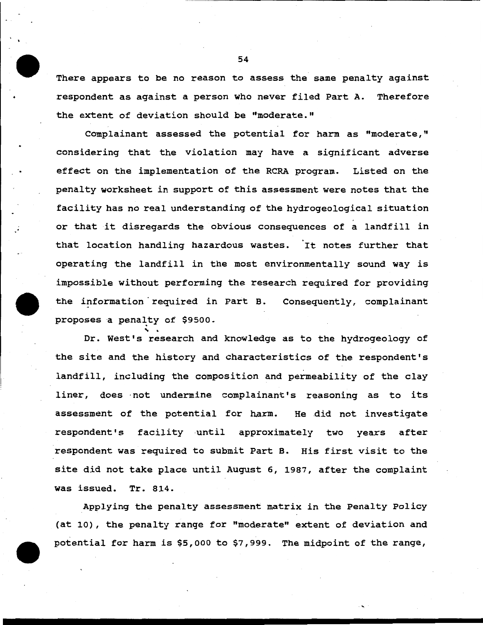There appears to be no reason to assess the same penalty against respondent as against a person who never filed Part A. Therefore the extent of deviation should be "moderate."

Complainant assessed the potential for harm as "moderate," considering that the violation may have a significant adverse effect on the implementation of the RCRA program. Listed on the penalty worksheet in support of this assessment were notes that the facility has no real understanding of the hydrogeological situation or that it disregards the obvious consequences of a landfill in that location handling hazardous wastes. It notes further that operating the landfill in the most environmentally sound way is impossible without performing the research required for providing the information required in Part B. Consequently, complainant proposes a penalty of \$9500.

Dr. West's research and knowledge as to the hydrogeology of the site and the history and characteristics of the respondent's landfill, including the composition and permeability of the clay liner, does ·not undermine complainant's reasoning as to its assessment of the potential for harm. He did not investigate respondent's facility until approximately two years after respondent was required to submit Part B. His first visit to the site did not take place until August 6, 1987, after the complaint was issued. Tr. 814.

Applying the penalty assessment matrix in the Penalty Policy (at 10), the penalty range for "moderate" extent of deviation and potential for harm is \$5,000 to \$7,999. The midpoint of the range,

'·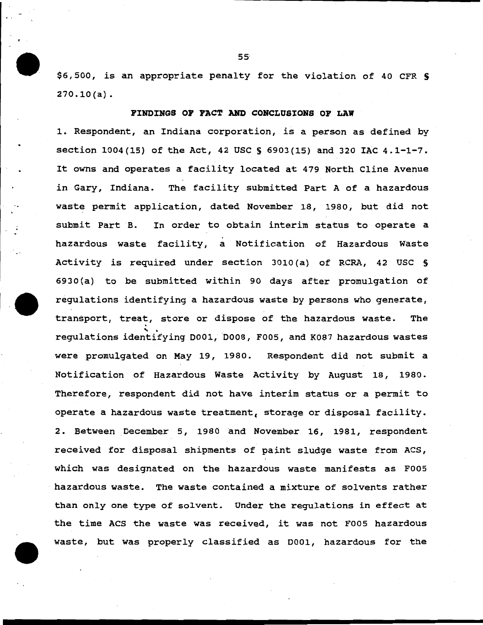\$6,500, is an appropriate penalty for the violation of 40 CFR \$ 270.10(a).

### PIHDINGS OP PACT AND CONCLUSIONS OP LAW

1. Respondent, an Indiana corporation, is a person as defined by section 1004(15) of the Act, 42 USC S 6903(15) and 320 IAC 4.1-1-7. It owns and operates a facility located at 479 North Cline Avenue in Gary, Indiana. The facility submitted Part A of a hazardous waste permit application, dated November 18, 1980, but did not submit Part B. In order to obtain interim status to operate a hazardous waste facility, a Notification of Hazardous Waste Activity is required under section 3010 (a) of RCRA, 42 USC § 6930 (a) to be submitted within 90 days after promulgation of regulations identifying a hazardous waste by persons who generate, transport, treat, store or dispose of the hazardous waste. The<br>regulations identifying D001, D008, F005, and K087 hazardous wastes were promulgated on May 19, 1980. Respondent did not submit a Notification of Hazardous Waste Activity by August 18, 1980. Therefore, respondent did not have interim status or a permit to operate a hazardous waste treatment, storage or disposal facility. 2. Between December 5, 1980 and November 16, 1981, respondent received for disposal shipments of paint sludge waste from ACS, which was designated on the hazardous waste manifests as F005 hazardous waste. The waste contained a mixture of solvents rather than only one type of solvent. Under the regulations *in* effect at the time ACS the waste was received, it was not F005 hazardous waste, but was properly classified as 0001, hazardous for the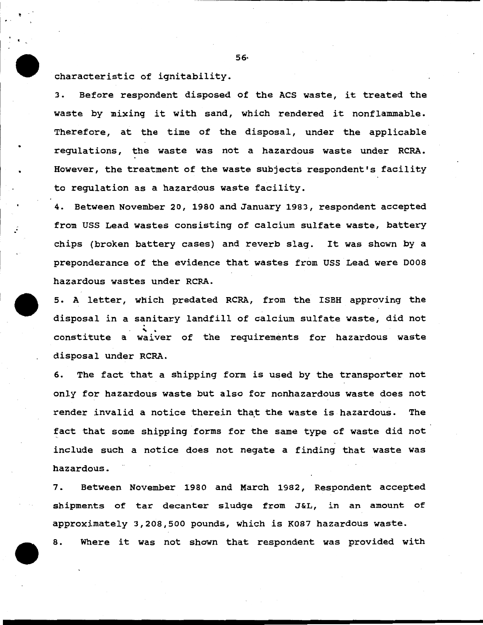characteristic of ignitability.

3. Before respondent disposed of the ACS waste, it treated the waste by mixing it with sand, which rendered it nonflammable. Therefore, at the time of the disposal, under the applicable regulations, the waste was not a hazardous waste under RCRA. However, the treatment of the waste subjects respondent's facility to regulation as a hazardous waste facility.

4. Between November 20, 1980 and January 1983, respondent accepted from USS Lead wastes consisting of calcium sulfate waste, battery chips (broken battery cases) and reverb slag. It was shown by a preponderance of the evidence that wastes from USS Lead were 0008 hazardous wastes under RCRA.

5. A letter, which predated RCRA, from the ISBH approving the disposal in a sanitary landfill of calcium sulfate waste, did not<br>constitute a waiver of the requirements for hazardous waste disposal under RCRA.

6. The fact that a shipping form is used by the transporter not only for hazardous waste but also for nonhazardous waste does not render invalid a notice therein that the waste is hazardous. The fact that some shipping forms for the same type of waste did not include such a notice does not negate a finding that waste was hazardous.

7. Between November 1980 and March 1982, Respondent accepted shipments of tar decanter sludge from J&L, in an amount of approximately 3,208,500 pounds, which is K087 hazardous waste.

8. Where it was not shown that respondent was provided with

56·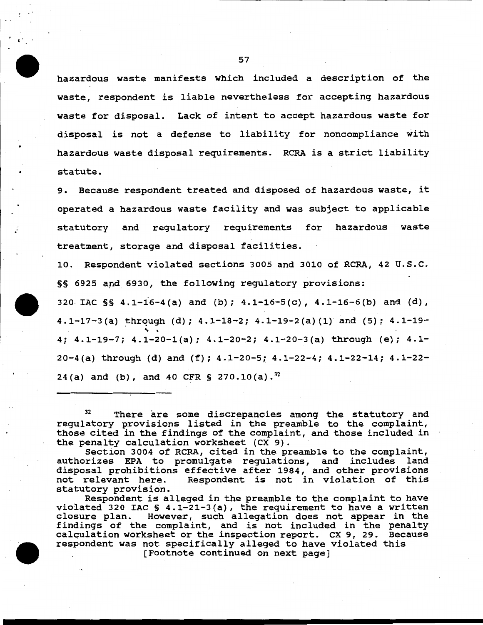hazardous waste manifests which included a description of the waste, respondent is liable nevertheless for accepting hazardous waste for disposal. Lack of intent to accept hazardous waste for disposal is not a defense to liability for noncompliance with hazardous waste disposal requirements. RCRA is a strict liability statute.

9. Because respondent treated and disposed of hazardous waste, it operated a hazardous waste facility and was subject to applicable statutory and regulatory requirements for hazardous waste treatment, storage and disposal facilities.

10. Respondent violated sections 3005 and 3010 of RCRA, 42 u.s.c. §§ 6925 and 6930, the following regulatory provisions:

320 IAC  $\S$  4.1-16-4(a) and (b); 4.1-16-5(c), 4.1-16-6(b) and (d), 4.1-17-3(a) through (d); 4.1-18-2; 4.1-19-2(a) (1) and (5);  $4.1$ -19-4; 4.1-19-7; 4.1-20-1(a); 4.1-20-2; 4.1-20-3(a) through (e); 4.1-20-4(a) through (d) and (f); 4.1-20-5; 4.1-22-4; 4.1-22-14; 4.1-22- 24(a) and (b), and 40 CFR § 270.10(a).<sup>32</sup>

<sup>32</sup> There are some discrepancies among the statutory and regulatory provisions listed in the preamble to the complaint, those cited in the findings of the complaint, and those included in the penalty calculation worksheet (CX 9).

Section 3004 of RCRA, cited in the preamble to the complaint, authorizes EPA to promulgate regulations, and includes land disposal prohibitions effective after 1984, and other provisions<br>not relevant here. Respondent is not in violation of this Respondent is not in violation of this statutory provision.

Respondent is alleged in the preamble to the complaint to have violated 320 IAC  $S$  4.1-21-3(a), the requirement to have a written closure plan. However, such allegation does not appear in the findings of the complaint, and is not included in the penalty calculation worksheet or the inspection report. ex 9, 29. Because respondent was not specifically alleged to have violated this

[Footnote continued on next page]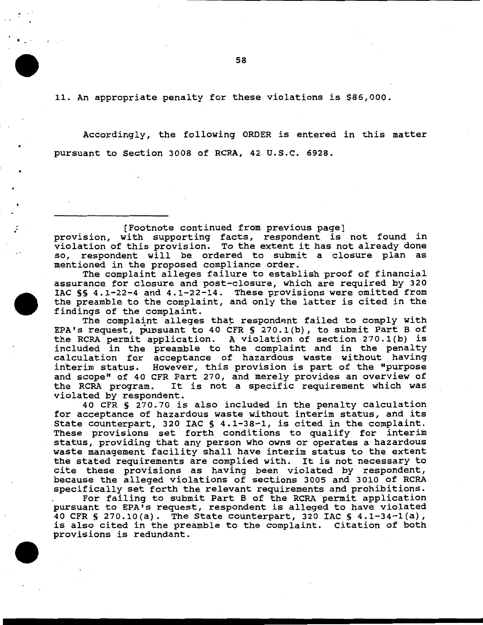11. An appropriate penalty for these violations is \$86,000.

Accordingly, the following ORDER is entered in this matter pursuant to Section 3008 of RCRA, 42 u.s.c. 6928.

(Footnote continued from previous page] provision, with supporting facts, respondent is not found in provision, with supporting racts, respondent is not found in<br>violation of this provision. To the extent it has not already done so, respondent will be ordered to submit a closure plan as mentioned in the proposed compliance order.

The complaint alleges failure to establish proof of financial assurance for closure and post-closure, which are required by 320 IAC §§ 4.1-22-4 and 4.1-22-14. These provisions were omitted from the preamble to the complaint, and only the latter is cited in the findings of the complaint.

The complaint alleges that respondent failed to comply with EPA's request, pursuant to 40 CFR  $\S$  270.1(b), to submit Part B of the RCRA permit application. A violation of section 270.1(b) is included in the preamble to the complaint and in the penalty calculation for acceptance of hazardous waste without having interim status. However, this provision is part. of the "purpose and scope" of 40 CFR Part 270, and merely provides an overview of<br>the RCRA program. It is not a specific requirement which was It is not a specific requirement which was violated by respondent.

40 CFR § 270.70 is also included in the penalty calculation for acceptance of hazardous waste without interim status, and its State counterpart, 320 IAC § 4.1-38-1, is cited in the complaint. These provisions set forth conditions to qualify for interim status, providing that any person who owns or operates a hazardous waste management facility shall have interim status to the extent the stated requirements are complied with. It is not necessary to cite these provisions as having been violated by respondent, because the alleged violations of sections 3005 and 3010 of RCRA specifically set forth the relevant requirements and prohibitions.

For failing to submit Part B of the RCRA permit application pursuant to EPA's request, respondent is alleged to have violated 40 CFR § 270.10(a). The State counterpart, 320 IAC § 4.1-34-1(a), is also cited in the preamble to the complaint. Citation of both provisions is redundant.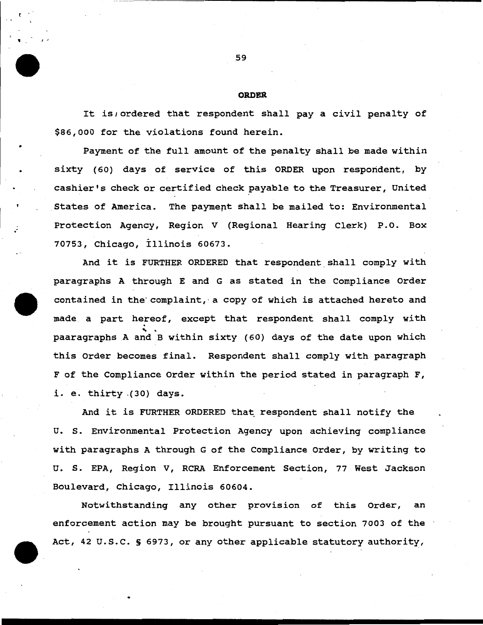#### **ORDER**

It is; ordered that respondent shall pay a civil penalty of \$86,000 for the violations found herein.

Payment of the full amount of the penalty shall be made within sixty (60) days of service of this ORDER upon respondent, by cashier's check or certified check payable to the Treasurer, United States of America. The payment shall be mailed to: Environmental Protection Agency, Region V (Regional Hearing Clerk) P.O. Box 70753, Chicago, Illinois 60673.

And it is FURTHER ORDERED that respondent shall comply with paragraphs A through E and G as stated in the Compliance Order contained in the complaint, a copy of which is attached hereto and made a part hereof, except that respondent shall comply with<br>paaragraphs A and B within sixty (60) days of the date upon which this Order becomes final. Respondent shall comply with paragraph F of the Compliance Order within the period stated in paragraph F, i. e. thirty .(30) days.

And it is FURTHER ORDERED that respondent shall notify the U. s. Environmental Protection Agency upon achieving compliance with paragraphs A through G of the Compliance Order, by writing to U. s. EPA, Region V, RCRA Enforcement Section, 77 West Jackson Boulevard, Chicago, Illinois 60604.

Notwithstanding any other provision of this Order, an enforcement action may be brought pursuant to section 7003 of the Act, 42 u.s.c. S 6973, or any other applicable statutory authority,

 $\blacksquare$ 

•

. .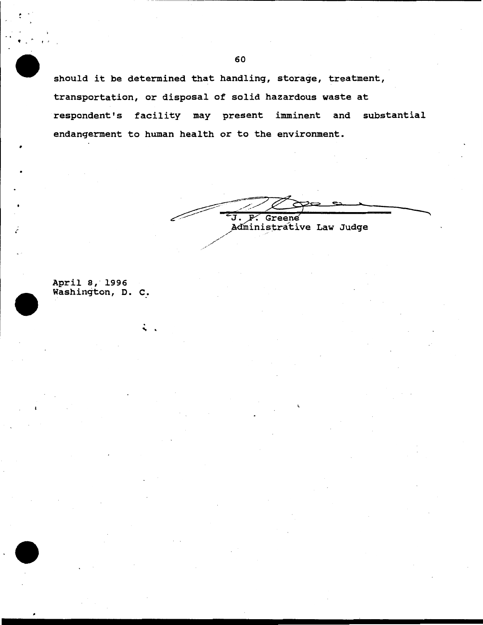should it be determined that handling, storage, treatment, transportation, or disposal of solid hazardous waste at respondent's facility may present imminent and substantial endangerment to human health or to the environment.

J. F. Greene<br>Administrative Law Judge

April 8, 1996 Washington, D. C.

 $\ddot{\cdot}$  .

,. .

•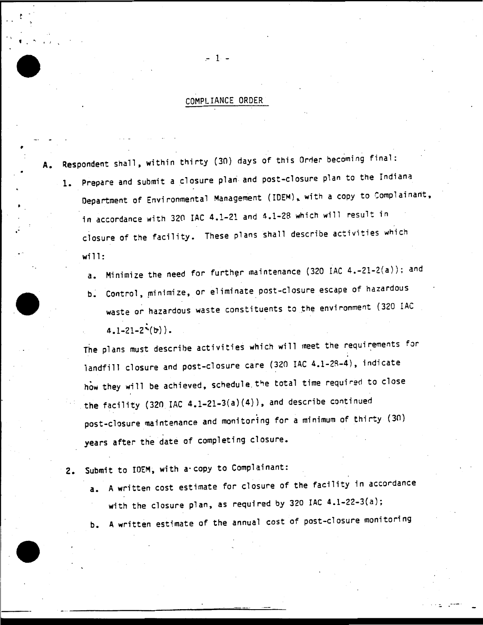# COMPLIANCE ORDER

 $-1 -$ 

• I

' '

•

- A. Respondent shall, within thirty (30) days of this Orrler becoming final:
	- 1. Prepare and submit a closure plari- and post-closure plan to the Indiana Department of Environmental Management (IDEM), with a copy to Complainant, in accordance with 320 IAC 4.1-21 and 4.1-28 which will result in closure of the facility. These plans shall describe activities which will:
		- a. Minimize the need for further maintenance (320 IAC 4.-21-2(a)); and
		- b. Control, minimize, or eliminate post-closure escape of hazardous waste or hazardous waste constituents to the environment (320 IAC  $4.1 - 21 - 2^{\prime}(b)$ .

The plans must describe activities which will meet the requirements for landfill closure and post-closure care (320 IAC 4.l-2R-4), indicate how they will be achieved, schedule the total time required to close the facility (320 IAC 4.1-21-3(a)(4)), and describe continued post-closure maintenance and monitoring for a minimum of thirty (30) years after the date of completing closure.

2. Submit to IDEM, with a copy to Complainant:

- a. A written cost estimate for closure of the facility in accordance with the closure plan, as required by 320 IAC 4.1-22-3(a);
- b. A written estimate of the annual cost of post-closure monitoring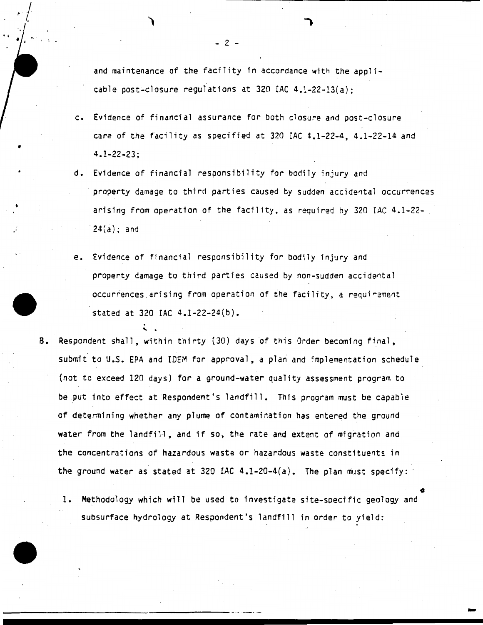*r* I .

"

•

and maintenance of the facility in accordance with the applicable post-closure regulations at 320 IAC 4.1-22-13(a);

- c. Evidence of financial assurance for both closure and post-closure care of the facility as specified at 320 IAC 4.1-22-4, 4.1-22-14 and 4.1-22-23;
- d. Evidence of financial responsibility for bodily injury and property damage to third parties caused by sudden accidental occurrences arising from operation of the facility, as required hy 320 IAC 4.1-22- 24(a); and
- e. Evidence of financial responsibility for bodily injury and property damage to third parties caused by non-sudden accidental occurrences arising from operation of the facility, a requirement
- stated at 320 IAC 4.1-22-24(b).<br>B. Respondent shall, within thirty (30) days of this Order becoming final, submit to U.S. EPA and IDEM for approval, a plan and implementation schedule (not to exceed 120 days) for a ground-water quality assessment program to be put into effect at Respondent's landfill. This program must be capable of determining whether any plume of contamination has entered the ground water from the landfill, and if so, the rate and extent of migration and the concentrations of hazardous waste or hazardous waste constituents in the ground water as stated at 320 IAC  $4.1-20-4(a)$ . The plan must specify:
	- 1. Methodo1ogy which will be used to investigate site-specific geology and subsurface hydrology at Respondent's landfill in order to yield:  $\bullet$

------------------------------ ·- -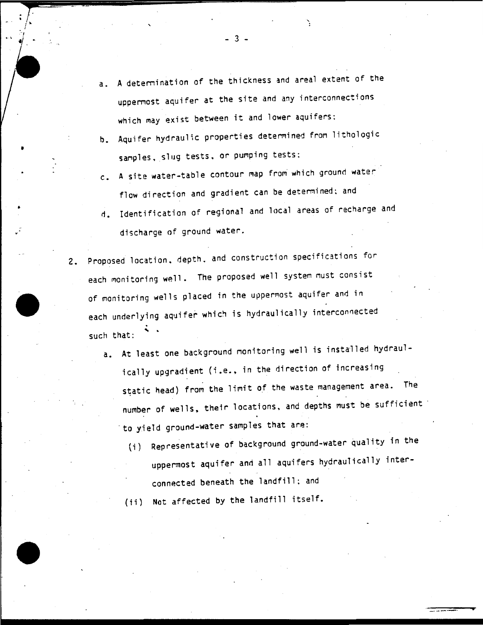- a. A deternination of the thickness and areal extent of the uppernost aquifer at the site and any interconnections which may exist between it and lower aquifers:
- b. Aquifer hydraulic properties determined from lithologic sanples. slug tests. or pumping tests:
- c. A site water-table contour map from which ground water flow direction and gradient can be determined; and
- d. Identification of regional and local areas of recharge and discharge of ground water.
- 2. Proposed location, depth, and construction specifications for each monitoring well. The proposed well system must consist of monitoring wells placed in the uppermost aquifer and in each underlying aquifer which is hydraulically interconnected such that:
	- a. At least one background nonitoring well is installed hydraulically upgradient (i.e., in the direction of increasing static head) from the limit of the waste management area. The number of wells, their locations, and depths must be sufficient · to yield ground-water sarnples that are:
		- (i) Representative of background ground-water quality in the uppermost aquifer and all aquifers hydraulically interconnected beneath the landfill; and

(ii) Not affected by the landfill itself.

- 3 -

 $\frac{1}{r}$ . i

'

•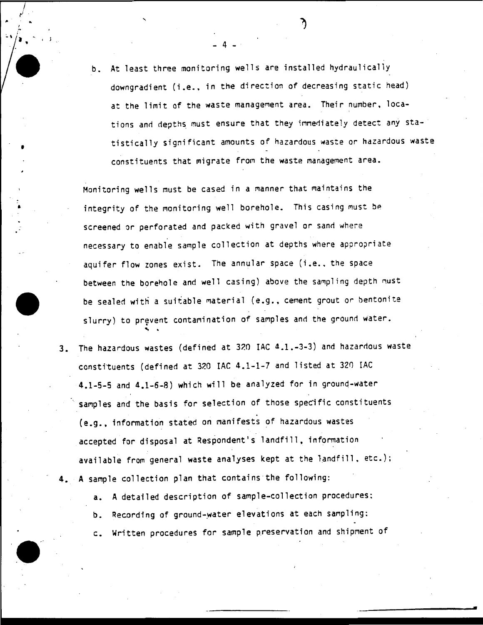b. At least three monitoring wells are installed hydraulically downgradient (i.e., in the direction of decreasing static head) at the limit of the waste management area. Their number, locations and depths must ensure that they immediately detect any statistically significant amounts of hazardous waste or hazardous waste constituents that migrate from the waste management area.

 $4 - 1$ 

.. ..

•

. I

• J

'

Monitoring wells must be cased in a manner that maintains the integrity of the monitoring well borehole. This casing must be screened or perforated and packed with gravel or sand where necessary to enable sample collection at depths where appropriate aquifer flow zones exist. The annular space (i.e., the space between the borehole and well casing) above the sampling depth must be sealed with a suitable material (e.g., cement grout or bentonite slurry) to prevent contamination of samples and the ground water.<br>. \*

- 3. The hazardous wastes (defined at 320 IAC 4.1.-3-3) and hazardous waste constituents (defined at 320 IAC 4.1-1-7 and listed at 320 IAC 4.1-5-5 and 4.1-6-8) which will be analyzed for in grounq-water samples and the basis for selection of those specific constituents (e.g., information stated on manifests of hazardous wastes accepted for disposal at Respondent's landfill. information available from general waste analyses kept at the landfill, etc.); 4. A sample collection plan that contains ·the following:
	- a. A detailed description of sample-collection procedures:
	- b. Recording of ground-water elevations at each sampling:
	- c. Written procedures for sample preservation and shipment of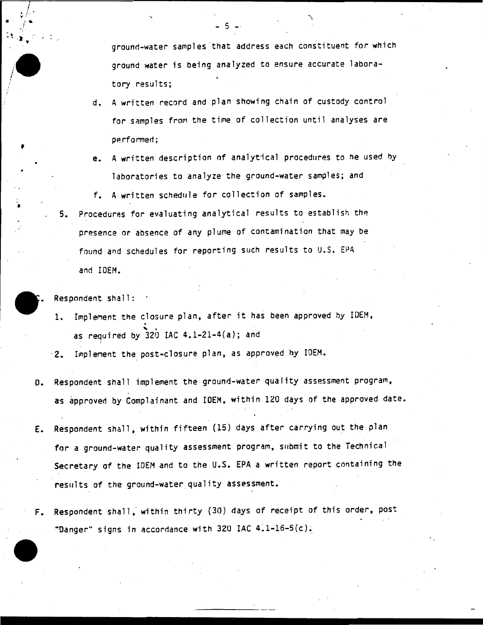ground-water samples that address each constituent for which ground water is being analyzed to ensure accurate laboratory results;

- d. A written record and plan showing chain of custody control for samples from the time of collection until analyses are performed;
- e. A written description of analytical procedures to be used by laboratories to analyze the ground-water samples; and

f. A written schedule for collection of samples.

5. Procedures for evaluating analytical results to establish the presence or absence of any plume of contamination that may be found and schedules for reporting such results to U.S. EPA and IDEM.

Respondent shall:

- 1. Implement the closure plan, after it has been approved by IDEM,<br>as required by 320 IAC 4.1-21-4(a); and
- .2. Implement the post-closure plan, as approved by IDEM.
- D. Respondent shall implement the ground-water quality assessment program, as approved by Complainant and IDEM, within 120 days of the approved date.
- E. Respondent shall, within fifteen (15) days after carrying out the plan for a ground-water quality assessment program, submit to the Technical Secretary of the IDEM and to the U.S. EPA a written report containing the results of the ground-water quality assessment.
- F. Respondent shall,' within thirty (30} days of receipt of this order, post "Danger" signs in accordance with 320 IAC 4.1-16-5(c).



 $\frac{1}{2}$ .

. ~ '. . ( : "

i *i* 

> **-**<br>-•

 $\frac{1}{\sqrt{2}}$